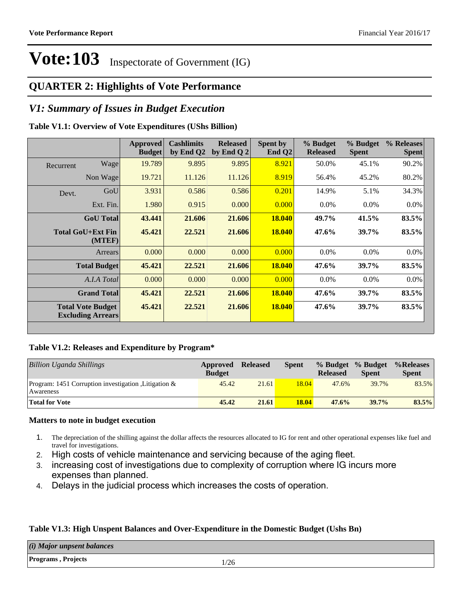### **QUARTER 2: Highlights of Vote Performance**

### *V1: Summary of Issues in Budget Execution*

#### **Table V1.1: Overview of Vote Expenditures (UShs Billion)**

|           |                                                      | Approved<br><b>Budget</b> | <b>Cashlimits</b><br>by End Q2 | <b>Released</b><br>by End Q $2$ | Spent by<br>End $Q2$ | % Budget<br><b>Released</b> | % Budget<br><b>Spent</b> | % Releases<br><b>Spent</b> |
|-----------|------------------------------------------------------|---------------------------|--------------------------------|---------------------------------|----------------------|-----------------------------|--------------------------|----------------------------|
| Recurrent | Wage                                                 | 19.789                    | 9.895                          | 9.895                           | 8.921                | 50.0%                       | 45.1%                    | 90.2%                      |
|           | Non Wage                                             | 19.721                    | 11.126                         | 11.126                          | 8.919                | 56.4%                       | 45.2%                    | 80.2%                      |
| Devt.     | GoU                                                  | 3.931                     | 0.586                          | 0.586                           | 0.201                | 14.9%                       | 5.1%                     | 34.3%                      |
|           | Ext. Fin.                                            | 1.980                     | 0.915                          | 0.000                           | 0.000                | $0.0\%$                     | $0.0\%$                  | $0.0\%$                    |
|           | <b>GoU</b> Total                                     | 43.441                    | 21.606                         | 21.606                          | <b>18.040</b>        | 49.7%                       | 41.5%                    | 83.5%                      |
|           | Total GoU+Ext Fin<br>(MTEF)                          | 45.421                    | 22.521                         | 21.606                          | 18.040               | 47.6%                       | 39.7%                    | 83.5%                      |
|           | Arrears                                              | 0.000                     | 0.000                          | 0.000                           | 0.000                | $0.0\%$                     | $0.0\%$                  | $0.0\%$                    |
|           | <b>Total Budget</b>                                  | 45.421                    | 22.521                         | 21.606                          | <b>18.040</b>        | 47.6%                       | 39.7%                    | 83.5%                      |
|           | A.I.A Total                                          | 0.000                     | 0.000                          | 0.000                           | 0.000                | $0.0\%$                     | $0.0\%$                  | $0.0\%$                    |
|           | <b>Grand Total</b>                                   | 45.421                    | 22.521                         | 21.606                          | <b>18.040</b>        | 47.6%                       | 39.7%                    | 83.5%                      |
|           | <b>Total Vote Budget</b><br><b>Excluding Arrears</b> | 45.421                    | 22.521                         | 21.606                          | 18.040               | 47.6%                       | 39.7%                    | 83.5%                      |

#### **Table V1.2: Releases and Expenditure by Program\***

| Billion Uganda Shillings                                           | Approved<br><b>Budget</b> | <b>Released</b> | Spent        | % Budget<br><b>Released</b> | % Budget<br><b>Spent</b> | %Releases<br><b>Spent</b> |
|--------------------------------------------------------------------|---------------------------|-----------------|--------------|-----------------------------|--------------------------|---------------------------|
| Program: 1451 Corruption investigation , Litigation &<br>Awareness | 45.42                     | 21.61           | 18.04        | 47.6%                       | 39.7%                    | 83.5%                     |
| <b>Total for Vote</b>                                              | 45.42                     | 21.61           | <b>18.04</b> | 47.6%                       | 39.7%                    | 83.5%                     |

#### **Matters to note in budget execution**

- 1. The depreciation of the shilling against the dollar affects the resources allocated to IG for rent and other operational expenses like fuel and travel for investigations.
- 2. High costs of vehicle maintenance and servicing because of the aging fleet.
- 3. increasing cost of investigations due to complexity of corruption where IG incurs more expenses than planned.
- 4. Delays in the judicial process which increases the costs of operation.

#### **Table V1.3: High Unspent Balances and Over-Expenditure in the Domestic Budget (Ushs Bn)**

| (i) Major unpsent balances        |      |
|-----------------------------------|------|
| <b>Programs</b> , <b>Projects</b> | 1/26 |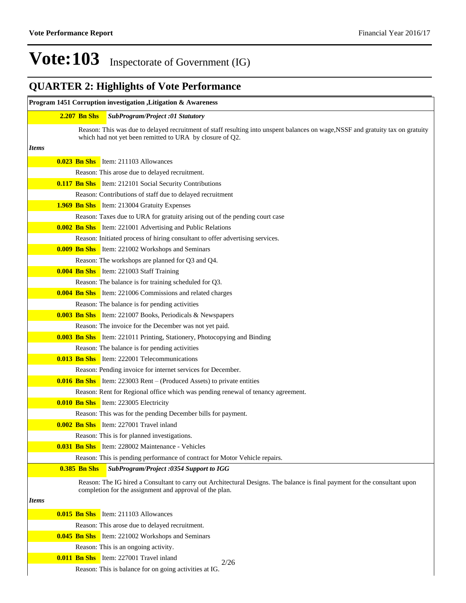## **QUARTER 2: Highlights of Vote Performance**

|              |                     | Program 1451 Corruption investigation , Litigation & Awareness                                                                                                                        |
|--------------|---------------------|---------------------------------------------------------------------------------------------------------------------------------------------------------------------------------------|
|              | <b>2.207 Bn Shs</b> | SubProgram/Project :01 Statutory                                                                                                                                                      |
|              |                     | Reason: This was due to delayed recruitment of staff resulting into unspent balances on wage, NSSF and gratuity tax on gratuity                                                       |
|              |                     | which had not yet been remitted to URA by closure of Q2.                                                                                                                              |
| <i>Items</i> |                     |                                                                                                                                                                                       |
|              |                     | <b>0.023 Bn Shs</b> Item: 211103 Allowances                                                                                                                                           |
|              |                     | Reason: This arose due to delayed recruitment.                                                                                                                                        |
|              |                     | <b>0.117 Bn Shs</b> Item: 212101 Social Security Contributions                                                                                                                        |
|              |                     | Reason: Contributions of staff due to delayed recruitment                                                                                                                             |
|              |                     | <b>1.969 Bn Shs</b> Item: 213004 Gratuity Expenses                                                                                                                                    |
|              |                     | Reason: Taxes due to URA for gratuity arising out of the pending court case                                                                                                           |
|              |                     | <b>0.002 Bn Shs</b> Item: 221001 Advertising and Public Relations                                                                                                                     |
|              |                     | Reason: Initiated process of hiring consultant to offer advertising services.                                                                                                         |
|              |                     | <b>0.009 Bn Shs</b> Item: 221002 Workshops and Seminars                                                                                                                               |
|              |                     | Reason: The workshops are planned for Q3 and Q4.                                                                                                                                      |
|              |                     | <b>0.004 Bn Shs</b> Item: 221003 Staff Training                                                                                                                                       |
|              |                     | Reason: The balance is for training scheduled for Q3.                                                                                                                                 |
|              |                     | <b>0.004 Bn Shs</b> Item: 221006 Commissions and related charges                                                                                                                      |
|              |                     | Reason: The balance is for pending activities                                                                                                                                         |
|              |                     | <b>0.003 Bn Shs</b> Item: 221007 Books, Periodicals & Newspapers                                                                                                                      |
|              |                     | Reason: The invoice for the December was not yet paid.                                                                                                                                |
|              |                     | <b>0.003 Bn Shs</b> Item: 221011 Printing, Stationery, Photocopying and Binding                                                                                                       |
|              |                     | Reason: The balance is for pending activities                                                                                                                                         |
|              |                     | <b>0.013 Bn Shs</b> Item: 222001 Telecommunications                                                                                                                                   |
|              |                     | Reason: Pending invoice for internet services for December.                                                                                                                           |
|              |                     | <b>0.016 Bn Shs</b> Item: 223003 Rent – (Produced Assets) to private entities                                                                                                         |
|              |                     | Reason: Rent for Regional office which was pending renewal of tenancy agreement.                                                                                                      |
|              |                     | <b>0.010 Bn Shs</b> Item: 223005 Electricity                                                                                                                                          |
|              |                     | Reason: This was for the pending December bills for payment.                                                                                                                          |
|              |                     | <b>0.002 Bn Shs</b> Item: 227001 Travel inland                                                                                                                                        |
|              |                     | Reason: This is for planned investigations.                                                                                                                                           |
|              |                     | <b>0.031 Bn Shs</b> Item: 228002 Maintenance - Vehicles                                                                                                                               |
|              |                     | Reason: This is pending performance of contract for Motor Vehicle repairs.                                                                                                            |
|              | <b>0.385 Bn Shs</b> | <b>SubProgram/Project :0354 Support to IGG</b>                                                                                                                                        |
|              |                     | Reason: The IG hired a Consultant to carry out Architectural Designs. The balance is final payment for the consultant upon<br>completion for the assignment and approval of the plan. |
| <i>Items</i> |                     |                                                                                                                                                                                       |
|              |                     | <b>0.015 Bn Shs</b> Item: 211103 Allowances                                                                                                                                           |
|              |                     | Reason: This arose due to delayed recruitment.                                                                                                                                        |
|              |                     | <b>0.045 Bn Shs</b> Item: 221002 Workshops and Seminars                                                                                                                               |
|              |                     | Reason: This is an ongoing activity.                                                                                                                                                  |
|              |                     | <b>0.011 Bn Shs</b> Item: 227001 Travel inland                                                                                                                                        |
|              |                     | 2/26<br>Reason: This is balance for on going activities at IG.                                                                                                                        |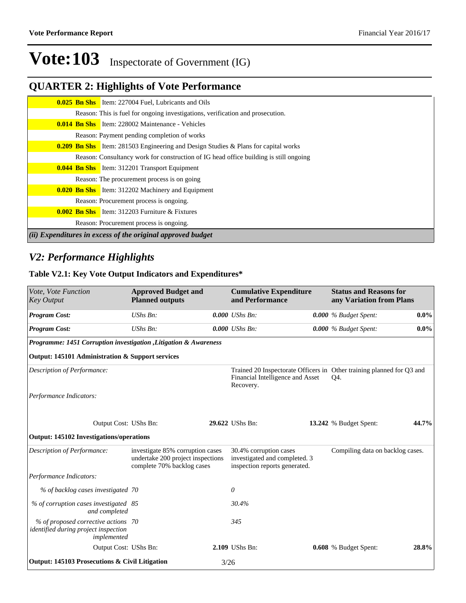## **QUARTER 2: Highlights of Vote Performance**

|                                                             | <b>0.025 Bn Shs</b> Item: 227004 Fuel, Lubricants and Oils                                |  |  |  |  |  |
|-------------------------------------------------------------|-------------------------------------------------------------------------------------------|--|--|--|--|--|
|                                                             | Reason: This is fuel for ongoing investigations, verification and prosecution.            |  |  |  |  |  |
|                                                             | <b>0.014 Bn Shs</b> Item: 228002 Maintenance - Vehicles                                   |  |  |  |  |  |
|                                                             | Reason: Payment pending completion of works                                               |  |  |  |  |  |
|                                                             | <b>0.209 Bn Shs</b> Item: 281503 Engineering and Design Studies & Plans for capital works |  |  |  |  |  |
|                                                             | Reason: Consultancy work for construction of IG head office building is still ongoing     |  |  |  |  |  |
|                                                             | <b>0.044 Bn Shs</b> Item: 312201 Transport Equipment                                      |  |  |  |  |  |
|                                                             | Reason: The procurement process is on going                                               |  |  |  |  |  |
|                                                             | <b>0.020 Bn Shs</b> Item: 312202 Machinery and Equipment                                  |  |  |  |  |  |
|                                                             | Reason: Procurement process is ongoing.                                                   |  |  |  |  |  |
|                                                             | <b>0.002 Bn Shs</b> Item: 312203 Furniture $\&$ Fixtures                                  |  |  |  |  |  |
|                                                             | Reason: Procurement process is ongoing.                                                   |  |  |  |  |  |
| (ii) Expenditures in excess of the original approved budget |                                                                                           |  |  |  |  |  |

### *V2: Performance Highlights*

#### **Table V2.1: Key Vote Output Indicators and Expenditures\***

| Vote, Vote Function<br><b>Key Output</b>                                                   | <b>Approved Budget and</b><br><b>Planned outputs</b>                                                |      | <b>Cumulative Expenditure</b><br>and Performance                                         | <b>Status and Reasons for</b><br>any Variation from Plans                    |         |
|--------------------------------------------------------------------------------------------|-----------------------------------------------------------------------------------------------------|------|------------------------------------------------------------------------------------------|------------------------------------------------------------------------------|---------|
| <b>Program Cost:</b>                                                                       | UShs Bn:                                                                                            |      | $0.000$ UShs Bn:                                                                         | 0.000 % Budget Spent:                                                        | $0.0\%$ |
| <b>Program Cost:</b>                                                                       | UShs Bn:                                                                                            |      | $0.000$ UShs Bn:                                                                         | $0.000\%$ Budget Spent:                                                      | $0.0\%$ |
| Programme: 1451 Corruption investigation , Litigation & Awareness                          |                                                                                                     |      |                                                                                          |                                                                              |         |
| Output: 145101 Administration & Support services                                           |                                                                                                     |      |                                                                                          |                                                                              |         |
| Description of Performance:                                                                |                                                                                                     |      | Financial Intelligence and Asset<br>Recovery.                                            | Trained 20 Inspectorate Officers in Other training planned for Q3 and<br>Q4. |         |
| Performance Indicators:                                                                    |                                                                                                     |      |                                                                                          |                                                                              |         |
| Output Cost: UShs Bn:                                                                      |                                                                                                     |      | 29.622 UShs Bn:                                                                          | 13.242 % Budget Spent:                                                       | 44.7%   |
| Output: 145102 Investigations/operations                                                   |                                                                                                     |      |                                                                                          |                                                                              |         |
| Description of Performance:                                                                | investigate 85% corruption cases<br>undertake 200 project inspections<br>complete 70% backlog cases |      | 30.4% corruption cases<br>investigated and completed. 3<br>inspection reports generated. | Compiling data on backlog cases.                                             |         |
| Performance Indicators:                                                                    |                                                                                                     |      |                                                                                          |                                                                              |         |
| % of backlog cases investigated 70                                                         |                                                                                                     |      | $\theta$                                                                                 |                                                                              |         |
| % of corruption cases investigated 85<br>and completed                                     |                                                                                                     |      | 30.4%                                                                                    |                                                                              |         |
| % of proposed corrective actions 70<br>identified during project inspection<br>implemented |                                                                                                     |      | 345                                                                                      |                                                                              |         |
| Output Cost: UShs Bn:                                                                      |                                                                                                     |      | 2.109 UShs Bn:                                                                           | <b>0.608</b> % Budget Spent:                                                 | 28.8%   |
| Output: 145103 Prosecutions & Civil Litigation                                             |                                                                                                     | 3/26 |                                                                                          |                                                                              |         |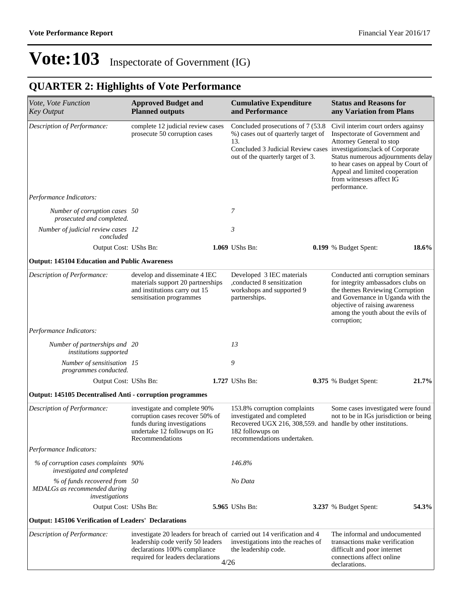## **QUARTER 2: Highlights of Vote Performance**

| Vote, Vote Function<br><b>Key Output</b>                                       | <b>Approved Budget and</b><br><b>Planned outputs</b>                                                                                              |      | <b>Cumulative Expenditure</b><br>and Performance                                                                                                                                             | <b>Status and Reasons for</b><br>any Variation from Plans                                                                                                                                                                                                   |       |
|--------------------------------------------------------------------------------|---------------------------------------------------------------------------------------------------------------------------------------------------|------|----------------------------------------------------------------------------------------------------------------------------------------------------------------------------------------------|-------------------------------------------------------------------------------------------------------------------------------------------------------------------------------------------------------------------------------------------------------------|-------|
| Description of Performance:                                                    | complete 12 judicial review cases<br>prosecute 50 corruption cases                                                                                |      | Concluded prosecutions of 7 (53.8)<br>%) cases out of quarterly target of<br>13.<br>Concluded 3 Judicial Review cases investigations; lack of Corporate<br>out of the quarterly target of 3. | Civil interim court orders againsy<br>Inspectorate of Government and<br>Attorney General to stop<br>Status numerous adjournments delay<br>to hear cases on appeal by Court of<br>Appeal and limited cooperation<br>from witnesses affect IG<br>performance. |       |
| Performance Indicators:                                                        |                                                                                                                                                   |      |                                                                                                                                                                                              |                                                                                                                                                                                                                                                             |       |
| Number of corruption cases 50<br>prosecuted and completed.                     |                                                                                                                                                   |      | 7                                                                                                                                                                                            |                                                                                                                                                                                                                                                             |       |
| Number of judicial review cases 12<br>concluded                                |                                                                                                                                                   |      | 3                                                                                                                                                                                            |                                                                                                                                                                                                                                                             |       |
| Output Cost: UShs Bn:                                                          |                                                                                                                                                   |      | 1.069 UShs Bn:                                                                                                                                                                               | 0.199 % Budget Spent:                                                                                                                                                                                                                                       | 18.6% |
| <b>Output: 145104 Education and Public Awareness</b>                           |                                                                                                                                                   |      |                                                                                                                                                                                              |                                                                                                                                                                                                                                                             |       |
| Description of Performance:                                                    | develop and disseminate 4 IEC<br>materials support 20 partnerships<br>and institutions carry out 15<br>sensitisation programmes                   |      | Developed 3 IEC materials<br>,conducted 8 sensitization<br>workshops and supported 9<br>partnerships.                                                                                        | Conducted anti corruption seminars<br>for integrity ambassadors clubs on<br>the themes Reviewing Corruption<br>and Governance in Uganda with the<br>objective of raising awareness<br>among the youth about the evils of<br>corruption;                     |       |
| Performance Indicators:                                                        |                                                                                                                                                   |      |                                                                                                                                                                                              |                                                                                                                                                                                                                                                             |       |
| Number of partnerships and 20<br>institutions supported                        |                                                                                                                                                   |      | 13                                                                                                                                                                                           |                                                                                                                                                                                                                                                             |       |
| Number of sensitisation 15<br>programmes conducted.                            |                                                                                                                                                   |      | 9                                                                                                                                                                                            |                                                                                                                                                                                                                                                             |       |
| Output Cost: UShs Bn:                                                          |                                                                                                                                                   |      | 1.727 UShs Bn:                                                                                                                                                                               | 0.375 % Budget Spent:                                                                                                                                                                                                                                       | 21.7% |
| <b>Output: 145105 Decentralised Anti - corruption programmes</b>               |                                                                                                                                                   |      |                                                                                                                                                                                              |                                                                                                                                                                                                                                                             |       |
| Description of Performance:                                                    | investigate and complete 90%<br>corruption cases recover 50% of<br>funds during investigations<br>undertake 12 followups on IG<br>Recommendations |      | 153.8% corruption complaints<br>investigated and completed<br>Recovered UGX 216, 308, 559. and handle by other institutions.<br>182 followups on<br>recommendations undertaken.              | Some cases investigated were found<br>not to be in IGs jurisdiction or being                                                                                                                                                                                |       |
| Performance Indicators:                                                        |                                                                                                                                                   |      |                                                                                                                                                                                              |                                                                                                                                                                                                                                                             |       |
| % of corruption cases complaints 90%<br>investigated and completed             |                                                                                                                                                   |      | 146.8%                                                                                                                                                                                       |                                                                                                                                                                                                                                                             |       |
| % of funds recovered from 50<br>MDALGs as recommended during<br>investigations |                                                                                                                                                   |      | No Data                                                                                                                                                                                      |                                                                                                                                                                                                                                                             |       |
| Output Cost: UShs Bn:                                                          |                                                                                                                                                   |      | 5.965 UShs Bn:                                                                                                                                                                               | 3.237 % Budget Spent:                                                                                                                                                                                                                                       | 54.3% |
| <b>Output: 145106 Verification of Leaders' Declarations</b>                    |                                                                                                                                                   |      |                                                                                                                                                                                              |                                                                                                                                                                                                                                                             |       |
| Description of Performance:                                                    | leadership code verify 50 leaders<br>declarations 100% compliance<br>required for leaders declarations                                            | 4/26 | investigate 20 leaders for breach of carried out 14 verification and 4<br>investigations into the reaches of<br>the leadership code.                                                         | The informal and undocumented<br>transactions make verification<br>difficult and poor internet<br>connections affect online<br>declarations.                                                                                                                |       |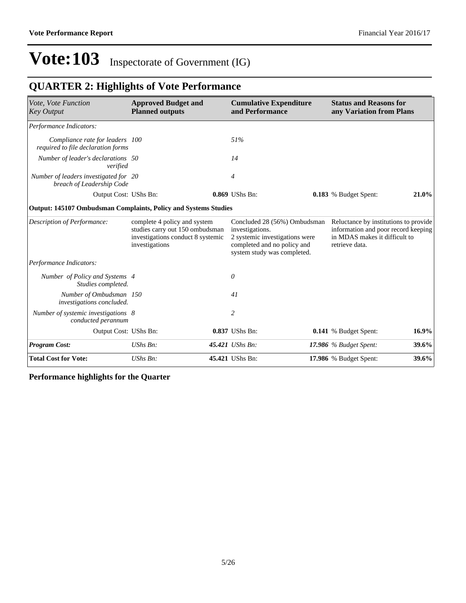## **QUARTER 2: Highlights of Vote Performance**

| Vote, Vote Function<br><b>Key Output</b>                               | <b>Approved Budget and</b><br><b>Planned outputs</b>                                                                   |  | <b>Cumulative Expenditure</b><br>and Performance                                                                                                | <b>Status and Reasons for</b><br>any Variation from Plans                                                                       |          |
|------------------------------------------------------------------------|------------------------------------------------------------------------------------------------------------------------|--|-------------------------------------------------------------------------------------------------------------------------------------------------|---------------------------------------------------------------------------------------------------------------------------------|----------|
| Performance Indicators:                                                |                                                                                                                        |  |                                                                                                                                                 |                                                                                                                                 |          |
| Compliance rate for leaders 100<br>required to file declaration forms  |                                                                                                                        |  | 51%                                                                                                                                             |                                                                                                                                 |          |
| Number of leader's declarations 50<br>verified                         |                                                                                                                        |  | 14                                                                                                                                              |                                                                                                                                 |          |
| Number of leaders investigated for 20<br>breach of Leadership Code     |                                                                                                                        |  | 4                                                                                                                                               |                                                                                                                                 |          |
| Output Cost: UShs Bn:                                                  |                                                                                                                        |  | 0.869 UShs Bn:                                                                                                                                  | 0.183 % Budget Spent:                                                                                                           | $21.0\%$ |
| <b>Output: 145107 Ombudsman Complaints, Policy and Systems Studies</b> |                                                                                                                        |  |                                                                                                                                                 |                                                                                                                                 |          |
| Description of Performance:                                            | complete 4 policy and system<br>studies carry out 150 ombudsman<br>investigations conduct 8 systemic<br>investigations |  | Concluded 28 (56%) Ombudsman<br>investigations.<br>2 systemic investigations were<br>completed and no policy and<br>system study was completed. | Reluctance by institutions to provide<br>information and poor record keeping<br>in MDAS makes it difficult to<br>retrieve data. |          |
| Performance Indicators:                                                |                                                                                                                        |  |                                                                                                                                                 |                                                                                                                                 |          |
| Number of Policy and Systems 4<br>Studies completed.                   |                                                                                                                        |  | 0                                                                                                                                               |                                                                                                                                 |          |
| Number of Ombudsman 150<br>investigations concluded.                   |                                                                                                                        |  | 41                                                                                                                                              |                                                                                                                                 |          |
| Number of systemic investigations 8<br>conducted perannum              |                                                                                                                        |  | 2                                                                                                                                               |                                                                                                                                 |          |
| Output Cost: UShs Bn:                                                  |                                                                                                                        |  | 0.837 UShs Bn:                                                                                                                                  | 0.141 % Budget Spent:                                                                                                           | $16.9\%$ |
| <b>Program Cost:</b>                                                   | UShs Bn:                                                                                                               |  | 45.421 UShs Bn:                                                                                                                                 | 17.986 $%$ Budget Spent:                                                                                                        | 39.6%    |
| <b>Total Cost for Vote:</b>                                            | UShs Bn:                                                                                                               |  | 45.421 UShs Bn:                                                                                                                                 | 17.986 % Budget Spent:                                                                                                          | 39.6%    |

**Performance highlights for the Quarter**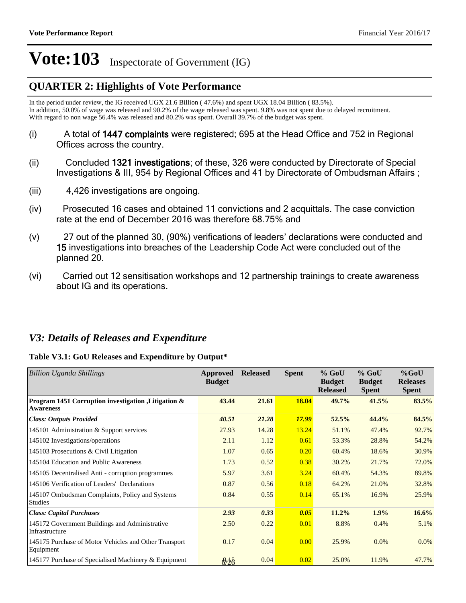### **QUARTER 2: Highlights of Vote Performance**

In the period under review, the IG received UGX 21.6 Billion  $(47.6%)$  and spent UGX 18.04 Billion  $(83.5%)$ . In addition, 50.0% of wage was released and 90.2% of the wage released was spent. 9.8% was not spent due to delayed recruitment. With regard to non wage 56.4% was released and 80.2% was spent. Overall 39.7% of the budget was spent.

- $(i)$  A total of 1447 complaints were registered; 695 at the Head Office and 752 in Regional Offices across the country.
- (ii) Concluded 1321 investigations; of these, 326 were conducted by Directorate of Special Investigations & III, 954 by Regional Offices and 41 by Directorate of Ombudsman Affairs ;
- (iii)  $4,426$  investigations are ongoing.
- (iv)Prosecuted 16 cases and obtained 11 convictions and 2 acquittals. The case conviction rate at the end of December 2016 was therefore 68.75% and
- $(v)$  27 out of the planned 30, (90%) verifications of leaders' declarations were conducted and 15 investigations into breaches of the Leadership Code Act were concluded out of the planned 20.
- (vi) Carried out 12 sensitisation workshops and 12 partnership trainings to create awareness about IG and its operations.

### *V3: Details of Releases and Expenditure*

#### **Table V3.1: GoU Releases and Expenditure by Output\***

| <b>Billion Uganda Shillings</b>                                          | Approved<br><b>Budget</b>                | <b>Released</b> | <b>Spent</b> | $%$ GoU<br><b>Budget</b><br><b>Released</b> | $%$ GoU<br><b>Budget</b><br><b>Spent</b> | $%$ GoU<br><b>Releases</b><br><b>Spent</b> |
|--------------------------------------------------------------------------|------------------------------------------|-----------------|--------------|---------------------------------------------|------------------------------------------|--------------------------------------------|
| Program 1451 Corruption investigation , Litigation &<br><b>Awareness</b> | 43.44                                    | 21.61           | 18.04        | 49.7%                                       | 41.5%                                    | 83.5%                                      |
| <b>Class: Outputs Provided</b>                                           | 40.51                                    | 21.28           | <b>17.99</b> | 52.5%                                       | 44.4%                                    | 84.5%                                      |
| 145101 Administration & Support services                                 | 27.93                                    | 14.28           | 13.24        | 51.1%                                       | 47.4%                                    | 92.7%                                      |
| 145102 Investigations/operations                                         | 2.11                                     | 1.12            | 0.61         | 53.3%                                       | 28.8%                                    | 54.2%                                      |
| 145103 Prosecutions & Civil Litigation                                   | 1.07                                     | 0.65            | 0.20         | 60.4%                                       | 18.6%                                    | 30.9%                                      |
| 145104 Education and Public Awareness                                    | 1.73                                     | 0.52            | 0.38         | 30.2%                                       | 21.7%                                    | 72.0%                                      |
| 145105 Decentralised Anti - corruption programmes                        | 5.97                                     | 3.61            | 3.24         | 60.4%                                       | 54.3%                                    | 89.8%                                      |
| 145106 Verification of Leaders' Declarations                             | 0.87                                     | 0.56            | 0.18         | 64.2%                                       | 21.0%                                    | 32.8%                                      |
| 145107 Ombudsman Complaints, Policy and Systems<br>Studies               | 0.84                                     | 0.55            | 0.14         | 65.1%                                       | 16.9%                                    | 25.9%                                      |
| <b>Class: Capital Purchases</b>                                          | 2.93                                     | 0.33            | 0.05         | 11.2%                                       | 1.9%                                     | 16.6%                                      |
| 145172 Government Buildings and Administrative<br>Infrastructure         | 2.50                                     | 0.22            | 0.01         | 8.8%                                        | 0.4%                                     | 5.1%                                       |
| 145175 Purchase of Motor Vehicles and Other Transport<br>Equipment       | 0.17                                     | 0.04            | 0.00         | 25.9%                                       | $0.0\%$                                  | $0.0\%$                                    |
| 145177 Purchase of Specialised Machinery & Equipment                     | $\frac{\partial}{\partial \hat{\delta}}$ | 0.04            | 0.02         | 25.0%                                       | 11.9%                                    | 47.7%                                      |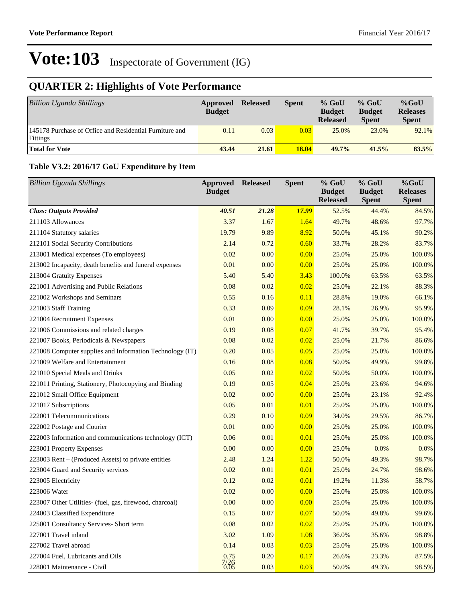## **QUARTER 2: Highlights of Vote Performance**

| <b>Billion Uganda Shillings</b>                                     | Approved<br><b>Budget</b> | <b>Released</b> | <b>Spent</b> | $%$ GoU<br><b>Budget</b><br><b>Released</b> | $%$ GoU<br><b>Budget</b><br><b>Spent</b> | $%$ GoU<br><b>Releases</b><br><b>Spent</b> |
|---------------------------------------------------------------------|---------------------------|-----------------|--------------|---------------------------------------------|------------------------------------------|--------------------------------------------|
| 145178 Purchase of Office and Residential Furniture and<br>Fittings | 0.11                      | 0.03            | 0.03         | 25.0%                                       | 23.0%                                    | 92.1%                                      |
| <b>Total for Vote</b>                                               | 43.44                     | 21.61           | 18.04        | $49.7\%$                                    | 41.5%                                    | 83.5%                                      |

#### **Table V3.2: 2016/17 GoU Expenditure by Item**

| <b>Billion Uganda Shillings</b>                          | <b>Approved</b><br><b>Budget</b> | <b>Released</b> | <b>Spent</b> | % GoU<br><b>Budget</b><br><b>Released</b> | % GoU<br><b>Budget</b><br><b>Spent</b> | %GoU<br><b>Releases</b><br><b>Spent</b> |
|----------------------------------------------------------|----------------------------------|-----------------|--------------|-------------------------------------------|----------------------------------------|-----------------------------------------|
| <b>Class: Outputs Provided</b>                           | 40.51                            | 21.28           | <b>17.99</b> | 52.5%                                     | 44.4%                                  | 84.5%                                   |
| 211103 Allowances                                        | 3.37                             | 1.67            | 1.64         | 49.7%                                     | 48.6%                                  | 97.7%                                   |
| 211104 Statutory salaries                                | 19.79                            | 9.89            | 8.92         | 50.0%                                     | 45.1%                                  | 90.2%                                   |
| 212101 Social Security Contributions                     | 2.14                             | 0.72            | 0.60         | 33.7%                                     | 28.2%                                  | 83.7%                                   |
| 213001 Medical expenses (To employees)                   | 0.02                             | 0.00            | 0.00         | 25.0%                                     | 25.0%                                  | 100.0%                                  |
| 213002 Incapacity, death benefits and funeral expenses   | 0.01                             | 0.00            | 0.00         | 25.0%                                     | 25.0%                                  | 100.0%                                  |
| 213004 Gratuity Expenses                                 | 5.40                             | 5.40            | 3.43         | 100.0%                                    | 63.5%                                  | 63.5%                                   |
| 221001 Advertising and Public Relations                  | 0.08                             | 0.02            | 0.02         | 25.0%                                     | 22.1%                                  | 88.3%                                   |
| 221002 Workshops and Seminars                            | 0.55                             | 0.16            | 0.11         | 28.8%                                     | 19.0%                                  | 66.1%                                   |
| 221003 Staff Training                                    | 0.33                             | 0.09            | 0.09         | 28.1%                                     | 26.9%                                  | 95.9%                                   |
| 221004 Recruitment Expenses                              | 0.01                             | 0.00            | 0.00         | 25.0%                                     | 25.0%                                  | 100.0%                                  |
| 221006 Commissions and related charges                   | 0.19                             | 0.08            | 0.07         | 41.7%                                     | 39.7%                                  | 95.4%                                   |
| 221007 Books, Periodicals & Newspapers                   | 0.08                             | 0.02            | 0.02         | 25.0%                                     | 21.7%                                  | 86.6%                                   |
| 221008 Computer supplies and Information Technology (IT) | 0.20                             | 0.05            | 0.05         | 25.0%                                     | 25.0%                                  | 100.0%                                  |
| 221009 Welfare and Entertainment                         | 0.16                             | 0.08            | 0.08         | 50.0%                                     | 49.9%                                  | 99.8%                                   |
| 221010 Special Meals and Drinks                          | 0.05                             | 0.02            | 0.02         | 50.0%                                     | 50.0%                                  | 100.0%                                  |
| 221011 Printing, Stationery, Photocopying and Binding    | 0.19                             | 0.05            | 0.04         | 25.0%                                     | 23.6%                                  | 94.6%                                   |
| 221012 Small Office Equipment                            | 0.02                             | 0.00            | 0.00         | 25.0%                                     | 23.1%                                  | 92.4%                                   |
| 221017 Subscriptions                                     | 0.05                             | 0.01            | 0.01         | 25.0%                                     | 25.0%                                  | 100.0%                                  |
| 222001 Telecommunications                                | 0.29                             | 0.10            | 0.09         | 34.0%                                     | 29.5%                                  | 86.7%                                   |
| 222002 Postage and Courier                               | 0.01                             | 0.00            | 0.00         | 25.0%                                     | 25.0%                                  | 100.0%                                  |
| 222003 Information and communications technology (ICT)   | 0.06                             | 0.01            | 0.01         | 25.0%                                     | 25.0%                                  | 100.0%                                  |
| 223001 Property Expenses                                 | 0.00                             | 0.00            | 0.00         | 25.0%                                     | 0.0%                                   | 0.0%                                    |
| 223003 Rent – (Produced Assets) to private entities      | 2.48                             | 1.24            | 1.22         | 50.0%                                     | 49.3%                                  | 98.7%                                   |
| 223004 Guard and Security services                       | 0.02                             | 0.01            | 0.01         | 25.0%                                     | 24.7%                                  | 98.6%                                   |
| 223005 Electricity                                       | 0.12                             | 0.02            | 0.01         | 19.2%                                     | 11.3%                                  | 58.7%                                   |
| 223006 Water                                             | 0.02                             | 0.00            | 0.00         | 25.0%                                     | 25.0%                                  | 100.0%                                  |
| 223007 Other Utilities- (fuel, gas, firewood, charcoal)  | 0.00                             | 0.00            | 0.00         | 25.0%                                     | 25.0%                                  | 100.0%                                  |
| 224003 Classified Expenditure                            | 0.15                             | 0.07            | 0.07         | 50.0%                                     | 49.8%                                  | 99.6%                                   |
| 225001 Consultancy Services- Short term                  | 0.08                             | 0.02            | 0.02         | 25.0%                                     | 25.0%                                  | 100.0%                                  |
| 227001 Travel inland                                     | 3.02                             | 1.09            | 1.08         | 36.0%                                     | 35.6%                                  | 98.8%                                   |
| 227002 Travel abroad                                     | 0.14                             | 0.03            | 0.03         | 25.0%                                     | 25.0%                                  | 100.0%                                  |
| 227004 Fuel, Lubricants and Oils                         | 0.75                             | 0.20            | 0.17         | 26.6%                                     | 23.3%                                  | 87.5%                                   |
| 228001 Maintenance - Civil                               | $\frac{7}{26}$                   | 0.03            | 0.03         | 50.0%                                     | 49.3%                                  | 98.5%                                   |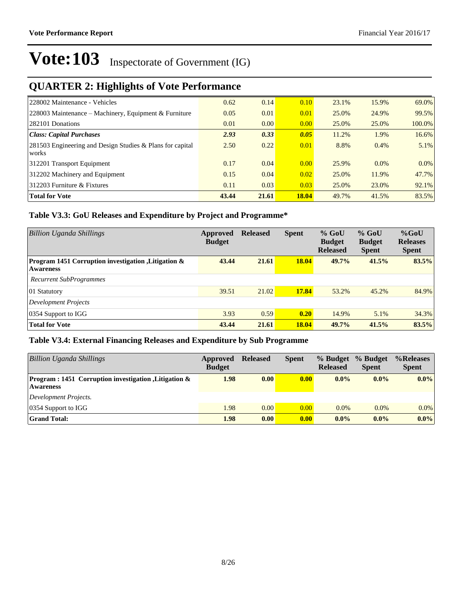## **QUARTER 2: Highlights of Vote Performance**

| 228002 Maintenance - Vehicles                                           | 0.62  | 0.14  | 0.10         | 23.1% | 15.9%   | 69.0%    |
|-------------------------------------------------------------------------|-------|-------|--------------|-------|---------|----------|
| 228003 Maintenance – Machinery, Equipment & Furniture                   | 0.05  | 0.01  | 0.01         | 25.0% | 24.9%   | 99.5%    |
| 282101 Donations                                                        | 0.01  | 0.00  | 0.00         | 25.0% | 25.0%   | 100.0%   |
| Class: Capital Purchases                                                | 2.93  | 0.33  | 0.05         | 11.2% | 1.9%    | $16.6\%$ |
| $ 281503$ Engineering and Design Studies & Plans for capital<br>  works | 2.50  | 0.22  | 0.01         | 8.8%  | $0.4\%$ | $5.1\%$  |
| 312201 Transport Equipment                                              | 0.17  | 0.04  | 0.00         | 25.9% | $0.0\%$ | $0.0\%$  |
| 312202 Machinery and Equipment                                          | 0.15  | 0.04  | 0.02         | 25.0% | 11.9%   | 47.7%    |
| $ 312203$ Furniture & Fixtures                                          | 0.11  | 0.03  | 0.03         | 25.0% | 23.0%   | $92.1\%$ |
| <b>Total for Vote</b>                                                   | 43.44 | 21.61 | <b>18.04</b> | 49.7% | 41.5%   | 83.5%    |

#### **Table V3.3: GoU Releases and Expenditure by Project and Programme\***

| Billion Uganda Shillings                                                 | Approved<br><b>Budget</b> | <b>Released</b> | <b>Spent</b> | $%$ GoU<br><b>Budget</b><br><b>Released</b> | $%$ GoU<br><b>Budget</b><br><b>Spent</b> | $%$ GoU<br><b>Releases</b><br><b>Spent</b> |
|--------------------------------------------------------------------------|---------------------------|-----------------|--------------|---------------------------------------------|------------------------------------------|--------------------------------------------|
| Program 1451 Corruption investigation , Litigation &<br><b>Awareness</b> | 43.44                     | 21.61           | <b>18.04</b> | 49.7%                                       | 41.5%                                    | 83.5%                                      |
| Recurrent SubProgrammes                                                  |                           |                 |              |                                             |                                          |                                            |
| 01 Statutory                                                             | 39.51                     | 21.02           | 17.84        | 53.2%                                       | 45.2%                                    | 84.9%                                      |
| <b>Development Projects</b>                                              |                           |                 |              |                                             |                                          |                                            |
| 0354 Support to IGG                                                      | 3.93                      | 0.59            | 0.20         | 14.9%                                       | 5.1%                                     | 34.3%                                      |
| <b>Total for Vote</b>                                                    | 43.44                     | 21.61           | 18.04        | 49.7%                                       | 41.5%                                    | 83.5%                                      |

#### **Table V3.4: External Financing Releases and Expenditure by Sub Programme**

| Billion Uganda Shillings                                                             | Approved<br><b>Budget</b> | <b>Released</b> | <b>Spent</b>      | % Budget<br><b>Released</b> | % Budget<br><b>Spent</b> | %Releases<br><b>Spent</b> |
|--------------------------------------------------------------------------------------|---------------------------|-----------------|-------------------|-----------------------------|--------------------------|---------------------------|
| <b>Program</b> : 1451 Corruption investigation , Litigation $\&$<br><b>Awareness</b> | 1.98                      | 0.00            | 0.00              | $0.0\%$                     | $0.0\%$                  | $0.0\%$                   |
| Development Projects.                                                                |                           |                 |                   |                             |                          |                           |
| $ 0354$ Support to IGG                                                               | 1.98                      | 0.00            | 0.00              | $0.0\%$                     | $0.0\%$                  | $0.0\%$                   |
| <b>Grand Total:</b>                                                                  | 1.98                      | 0.00            | 0.00 <sub>1</sub> | $0.0\%$                     | $0.0\%$                  | $0.0\%$                   |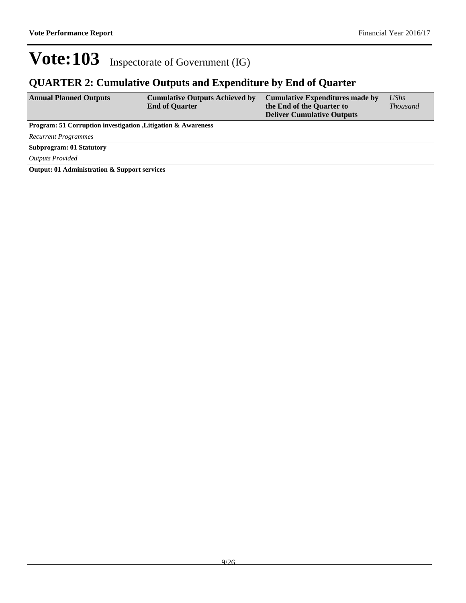### **QUARTER 2: Cumulative Outputs and Expenditure by End of Quarter**

| <b>Annual Planned Outputs</b>                                            | <b>Cumulative Outputs Achieved by</b><br><b>End of Quarter</b> | <b>Cumulative Expenditures made by</b><br>the End of the Quarter to<br><b>Deliver Cumulative Outputs</b> | <b>UShs</b><br><i>Thousand</i> |  |  |
|--------------------------------------------------------------------------|----------------------------------------------------------------|----------------------------------------------------------------------------------------------------------|--------------------------------|--|--|
| <b>Program: 51 Corruption investigation , Litigation &amp; Awareness</b> |                                                                |                                                                                                          |                                |  |  |
| <b>Recurrent Programmes</b>                                              |                                                                |                                                                                                          |                                |  |  |
| <b>Subprogram: 01 Statutory</b>                                          |                                                                |                                                                                                          |                                |  |  |
| <b>Outputs Provided</b>                                                  |                                                                |                                                                                                          |                                |  |  |

**Output: 01 Administration & Support services**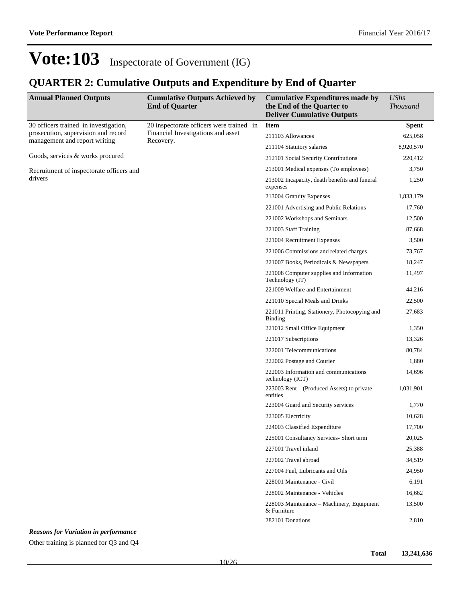### **QUARTER 2: Cumulative Outputs and Expenditure by End of Quarter**

| <b>Annual Planned Outputs</b>                                        | <b>Cumulative Outputs Achieved by</b><br><b>End of Quarter</b> | <b>Cumulative Expenditures made by</b><br>the End of the Quarter to<br><b>Deliver Cumulative Outputs</b> | <b>UShs</b><br><b>Thousand</b> |
|----------------------------------------------------------------------|----------------------------------------------------------------|----------------------------------------------------------------------------------------------------------|--------------------------------|
| 30 officers trained in investigation,                                | 20 inspectorate officers were trained in                       | <b>Item</b>                                                                                              | <b>Spent</b>                   |
| prosecution, supervision and record<br>management and report writing | Financial Investigations and asset<br>Recovery.                | 211103 Allowances                                                                                        | 625,058                        |
|                                                                      |                                                                | 211104 Statutory salaries                                                                                | 8,920,570                      |
| Goods, services & works procured                                     |                                                                | 212101 Social Security Contributions                                                                     | 220,412                        |
| Recruitment of inspectorate officers and                             |                                                                | 213001 Medical expenses (To employees)                                                                   | 3,750                          |
| drivers                                                              | expenses                                                       | 213002 Incapacity, death benefits and funeral                                                            | 1,250                          |
|                                                                      |                                                                | 213004 Gratuity Expenses                                                                                 | 1,833,179                      |
|                                                                      |                                                                | 221001 Advertising and Public Relations                                                                  | 17,760                         |
|                                                                      |                                                                | 221002 Workshops and Seminars                                                                            | 12,500                         |
|                                                                      |                                                                | 221003 Staff Training                                                                                    | 87,668                         |
|                                                                      |                                                                | 221004 Recruitment Expenses                                                                              | 3,500                          |
|                                                                      |                                                                | 221006 Commissions and related charges                                                                   | 73,767                         |
|                                                                      |                                                                | 221007 Books, Periodicals & Newspapers                                                                   | 18,247                         |
|                                                                      |                                                                | 221008 Computer supplies and Information<br>Technology (IT)                                              | 11,497                         |
|                                                                      |                                                                | 221009 Welfare and Entertainment                                                                         | 44,216                         |
|                                                                      |                                                                | 221010 Special Meals and Drinks                                                                          | 22,500                         |
|                                                                      |                                                                | 221011 Printing, Stationery, Photocopying and<br>Binding                                                 | 27,683                         |
|                                                                      |                                                                | 221012 Small Office Equipment                                                                            | 1,350                          |
|                                                                      |                                                                | 221017 Subscriptions                                                                                     | 13,326                         |
|                                                                      |                                                                | 222001 Telecommunications                                                                                | 80,784                         |
|                                                                      |                                                                | 222002 Postage and Courier                                                                               | 1,880                          |
|                                                                      |                                                                | 222003 Information and communications<br>technology (ICT)                                                | 14,696                         |
|                                                                      |                                                                | 223003 Rent – (Produced Assets) to private<br>entities                                                   | 1,031,901                      |
|                                                                      |                                                                | 223004 Guard and Security services                                                                       | 1,770                          |
|                                                                      |                                                                | 223005 Electricity                                                                                       | 10,628                         |
|                                                                      |                                                                | 224003 Classified Expenditure                                                                            | 17,700                         |
|                                                                      |                                                                | 225001 Consultancy Services- Short term                                                                  | 20,025                         |
|                                                                      |                                                                | 227001 Travel inland                                                                                     | 25,388                         |
|                                                                      |                                                                | 227002 Travel abroad                                                                                     | 34,519                         |
|                                                                      |                                                                | 227004 Fuel, Lubricants and Oils                                                                         | 24,950                         |
|                                                                      |                                                                | 228001 Maintenance - Civil                                                                               | 6,191                          |
|                                                                      |                                                                | 228002 Maintenance - Vehicles                                                                            | 16,662                         |
|                                                                      |                                                                | 228003 Maintenance - Machinery, Equipment<br>& Furniture                                                 | 13,500                         |
|                                                                      |                                                                | 282101 Donations                                                                                         | 2,810                          |

*Reasons for Variation in performance*

Other training is planned for Q3 and Q4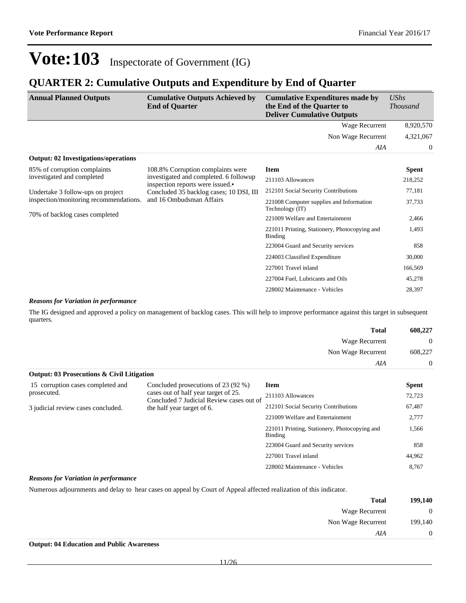### **QUARTER 2: Cumulative Outputs and Expenditure by End of Quarter**

| <b>Annual Planned Outputs</b>                                                                                                                                                            | <b>Cumulative Outputs Achieved by</b><br><b>End of Quarter</b> | <b>Cumulative Expenditures made by</b><br>the End of the Quarter to<br><b>Deliver Cumulative Outputs</b> | <b>UShs</b><br><i>Thousand</i> |
|------------------------------------------------------------------------------------------------------------------------------------------------------------------------------------------|----------------------------------------------------------------|----------------------------------------------------------------------------------------------------------|--------------------------------|
|                                                                                                                                                                                          |                                                                | Wage Recurrent                                                                                           | 8,920,570                      |
|                                                                                                                                                                                          |                                                                | Non Wage Recurrent                                                                                       | 4,321,067                      |
|                                                                                                                                                                                          |                                                                | AIA                                                                                                      | $\overline{0}$                 |
| <b>Output: 02 Investigations/operations</b>                                                                                                                                              |                                                                |                                                                                                          |                                |
| 85% of corruption complaints                                                                                                                                                             | 108.8% Corruption complaints were                              | <b>Item</b>                                                                                              | <b>Spent</b>                   |
| investigated and completed<br>investigated and completed. 6 followup<br>inspection reports were issued.•<br>Concluded 35 backlog cases; 10 DSI, III<br>Undertake 3 follow-ups on project |                                                                | 211103 Allowances                                                                                        | 218,252                        |
|                                                                                                                                                                                          | 212101 Social Security Contributions                           | 77,181                                                                                                   |                                |
| inspection/monitoring recommendations.                                                                                                                                                   | and 16 Ombudsman Affairs                                       | 221008 Computer supplies and Information<br>Technology (IT)                                              | 37,733                         |
| 70% of backlog cases completed                                                                                                                                                           |                                                                | 221009 Welfare and Entertainment                                                                         | 2,466                          |
|                                                                                                                                                                                          |                                                                | 221011 Printing, Stationery, Photocopying and<br>Binding                                                 | 1,493                          |
|                                                                                                                                                                                          |                                                                | 223004 Guard and Security services                                                                       | 858                            |
|                                                                                                                                                                                          |                                                                | 224003 Classified Expenditure                                                                            | 30,000                         |
|                                                                                                                                                                                          |                                                                | 227001 Travel inland                                                                                     | 166,569                        |
|                                                                                                                                                                                          |                                                                | 227004 Fuel, Lubricants and Oils                                                                         | 45,278                         |
|                                                                                                                                                                                          |                                                                | 228002 Maintenance - Vehicles                                                                            | 28,397                         |

#### *Reasons for Variation in performance*

The IG designed and approved a policy on management of backlog cases. This will help to improve performance against this target in subsequent quarters.

| <b>Total</b>                                          | 608,227  |
|-------------------------------------------------------|----------|
| Wage Recurrent                                        | $\Omega$ |
| Non Wage Recurrent                                    | 608,227  |
| AIA                                                   | $\Omega$ |
| <b>Output: 03 Prosecutions &amp; Civil Litigation</b> |          |

| 15 corruption cases completed and  | Concluded prosecutions of 23 (92 %)<br><b>Item</b><br>cases out of half year target of 25.<br>211103 Allowances<br>Concluded 7 Judicial Review cases out of<br>212101 Social Security Contributions<br>the half year target of 6.<br>221009 Welfare and Entertainment<br>221011 Printing, Stationery, Photocopying and<br>Binding<br>223004 Guard and Security services |                               | <b>Spent</b> |
|------------------------------------|-------------------------------------------------------------------------------------------------------------------------------------------------------------------------------------------------------------------------------------------------------------------------------------------------------------------------------------------------------------------------|-------------------------------|--------------|
| prosecuted.                        |                                                                                                                                                                                                                                                                                                                                                                         |                               | 72,723       |
| 3 judicial review cases concluded. |                                                                                                                                                                                                                                                                                                                                                                         |                               | 67,487       |
|                                    |                                                                                                                                                                                                                                                                                                                                                                         |                               | 2,777        |
|                                    |                                                                                                                                                                                                                                                                                                                                                                         |                               | 1,566        |
|                                    |                                                                                                                                                                                                                                                                                                                                                                         |                               | 858          |
|                                    |                                                                                                                                                                                                                                                                                                                                                                         | 227001 Travel inland          | 44,962       |
|                                    |                                                                                                                                                                                                                                                                                                                                                                         | 228002 Maintenance - Vehicles | 8.767        |

#### *Reasons for Variation in performance*

Numerous adjournments and delay to hear cases on appeal by Court of Appeal affected realization of this indicator.

| $\boldsymbol{0}$<br>Wage Recurrent<br>199,140<br>Non Wage Recurrent |
|---------------------------------------------------------------------|
|                                                                     |
|                                                                     |
| $\mathbf{0}$<br>AIA                                                 |

**Output: 04 Education and Public Awareness**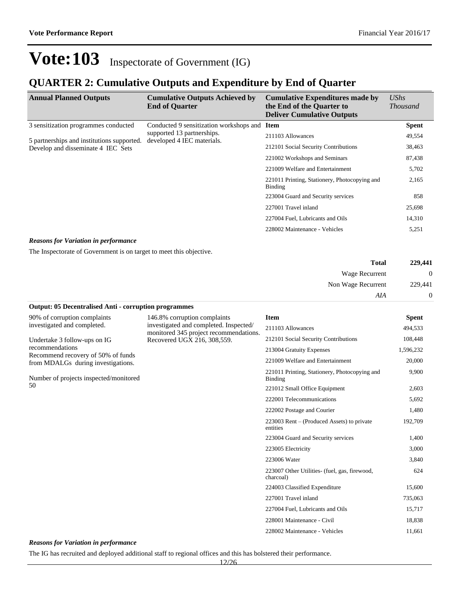### **QUARTER 2: Cumulative Outputs and Expenditure by End of Quarter**

| <b>Annual Planned Outputs</b>              | <b>Cumulative Outputs Achieved by</b><br><b>End of Quarter</b> | <b>Cumulative Expenditures made by</b><br>the End of the Quarter to<br><b>Deliver Cumulative Outputs</b> | <b>UShs</b><br><i>Thousand</i> |
|--------------------------------------------|----------------------------------------------------------------|----------------------------------------------------------------------------------------------------------|--------------------------------|
| 3 sensitization programmes conducted       | Conducted 9 sensitization workshops and Item                   |                                                                                                          | <b>Spent</b>                   |
| 5 partnerships and institutions supported. | supported 13 partnerships.<br>developed 4 IEC materials.       | 211103 Allowances                                                                                        | 49,554                         |
| Develop and disseminate 4 IEC Sets         | 212101 Social Security Contributions                           | 38,463                                                                                                   |                                |
|                                            | 221002 Workshops and Seminars                                  | 87,438                                                                                                   |                                |
|                                            | 221009 Welfare and Entertainment                               | 5,702                                                                                                    |                                |
|                                            | 221011 Printing, Stationery, Photocopying and<br>Binding       | 2,165                                                                                                    |                                |
|                                            |                                                                | 223004 Guard and Security services                                                                       | 858                            |
|                                            |                                                                | 227001 Travel inland                                                                                     | 25,698                         |
|                                            |                                                                | 227004 Fuel, Lubricants and Oils                                                                         | 14,310                         |
|                                            |                                                                | 228002 Maintenance - Vehicles                                                                            | 5,251                          |

#### *Reasons for Variation in performance*

The Inspectorate of Government is on target to meet this objective.

| 229,441          | <b>Total</b>       |  |
|------------------|--------------------|--|
| $\boldsymbol{0}$ | Wage Recurrent     |  |
| 229,441          | Non Wage Recurrent |  |
| $\overline{0}$   | AIA                |  |

| <b>Output: 05 Decentralised Anti - corruption programmes</b>             |                                                                        |                                                           |              |
|--------------------------------------------------------------------------|------------------------------------------------------------------------|-----------------------------------------------------------|--------------|
| 90% of corruption complaints<br>investigated and completed.              | 146.8% corruption complaints<br>investigated and completed. Inspected/ | <b>Item</b>                                               | <b>Spent</b> |
|                                                                          |                                                                        | 211103 Allowances                                         | 494,533      |
| Undertake 3 follow-ups on IG                                             | monitored 345 project recommendations.<br>Recovered UGX 216, 308,559.  | 212101 Social Security Contributions                      | 108,448      |
| recommendations                                                          |                                                                        | 213004 Gratuity Expenses                                  | 1,596,232    |
| Recommend recovery of 50% of funds<br>from MDALGs during investigations. |                                                                        | 221009 Welfare and Entertainment                          | 20,000       |
| Number of projects inspected/monitored                                   |                                                                        | 221011 Printing, Stationery, Photocopying and<br>Binding  | 9,900        |
| 50                                                                       |                                                                        | 221012 Small Office Equipment                             | 2,603        |
|                                                                          |                                                                        | 222001 Telecommunications                                 | 5,692        |
|                                                                          |                                                                        | 222002 Postage and Courier                                | 1,480        |
|                                                                          |                                                                        | 223003 Rent – (Produced Assets) to private<br>entities    | 192,709      |
|                                                                          |                                                                        | 223004 Guard and Security services                        | 1,400        |
|                                                                          |                                                                        | 223005 Electricity                                        | 3,000        |
|                                                                          |                                                                        | 223006 Water                                              | 3,840        |
|                                                                          |                                                                        | 223007 Other Utilities (fuel, gas, firewood,<br>charcoal) | 624          |
|                                                                          |                                                                        | 224003 Classified Expenditure                             | 15,600       |
|                                                                          |                                                                        | 227001 Travel inland                                      | 735,063      |
|                                                                          |                                                                        | 227004 Fuel, Lubricants and Oils                          | 15,717       |
|                                                                          |                                                                        | 228001 Maintenance - Civil                                | 18,838       |
|                                                                          |                                                                        | 228002 Maintenance - Vehicles                             | 11,661       |

*Reasons for Variation in performance*

The IG has recruited and deployed additional staff to regional offices and this has bolstered their performance.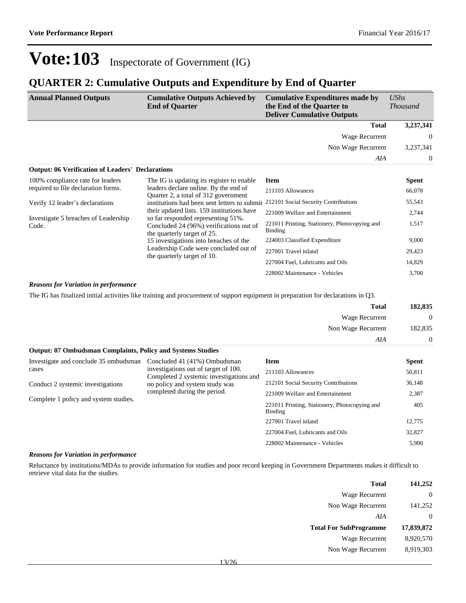### **QUARTER 2: Cumulative Outputs and Expenditure by End of Quarter**

| <b>Annual Planned Outputs</b>                           | <b>Cumulative Outputs Achieved by</b><br><b>End of Quarter</b>                                               | <b>Cumulative Expenditures made by</b><br>the End of the Quarter to<br><b>Deliver Cumulative Outputs</b> | <b>UShs</b><br><i>Thousand</i> |
|---------------------------------------------------------|--------------------------------------------------------------------------------------------------------------|----------------------------------------------------------------------------------------------------------|--------------------------------|
|                                                         |                                                                                                              | <b>Total</b>                                                                                             | 3,237,341                      |
|                                                         |                                                                                                              | Wage Recurrent                                                                                           | $\overline{0}$                 |
|                                                         |                                                                                                              | Non Wage Recurrent                                                                                       | 3,237,341                      |
|                                                         |                                                                                                              | AIA                                                                                                      | $\Omega$                       |
| <b>Output: 06 Verification of Leaders' Declarations</b> |                                                                                                              |                                                                                                          |                                |
| 100% compliance rate for leaders                        | The IG is updating its register to enable                                                                    | <b>Item</b>                                                                                              | <b>Spent</b>                   |
| required to file declaration forms.                     | leaders declare online. By the end of                                                                        | 211103 Allowances                                                                                        | 66,078                         |
| Verify 12 leader's declarations                         | Quarter 2, a total of 312 government<br>institutions had been sent letters to submit                         | 212101 Social Security Contributions                                                                     | 55,543                         |
|                                                         | their updated lists. 159 institutions have                                                                   | 221009 Welfare and Entertainment                                                                         | 2,744                          |
| Investigate 5 breaches of Leadership<br>Code.           | so far responded representing 51%.<br>Concluded 24 (96%) verifications out of<br>the quarterly target of 25. | 221011 Printing, Stationery, Photocopying and<br><b>Binding</b>                                          | 1,517                          |
|                                                         | 15 investigations into breaches of the                                                                       | 224003 Classified Expenditure                                                                            | 9,000                          |
|                                                         | Leadership Code were concluded out of<br>the quarterly target of 10.                                         | 227001 Travel inland                                                                                     | 29,423                         |
|                                                         |                                                                                                              | 227004 Fuel, Lubricants and Oils                                                                         | 14,829                         |
|                                                         |                                                                                                              | 228002 Maintenance - Vehicles                                                                            | 3,700                          |

#### *Reasons for Variation in performance*

The IG has finalized initial activities like training and procurement of support equipment in preparation for declarations in Q3.

| 182,835        | <b>Total</b>       |
|----------------|--------------------|
| $\overline{0}$ | Wage Recurrent     |
| 182,835        | Non Wage Recurrent |
| $\overline{0}$ | AIA                |

| <b>Output: 07 Ombudsman Complaints, Policy and Systems Studies</b> |                                                                                                                                                   |                                      |              |  |
|--------------------------------------------------------------------|---------------------------------------------------------------------------------------------------------------------------------------------------|--------------------------------------|--------------|--|
| Investigate and conclude 35 ombudsman                              | Concluded 41 (41%) Ombudsman                                                                                                                      | Item                                 | <b>Spent</b> |  |
| cases                                                              | investigations out of target of 100.<br>Completed 2 systemic investigations and<br>no policy and system study was<br>completed during the period. | 211103 Allowances                    | 50,811       |  |
| Conduct 2 systemic investigations                                  |                                                                                                                                                   | 212101 Social Security Contributions | 36,148       |  |
| Complete 1 policy and system studies.                              |                                                                                                                                                   | 221009 Welfare and Entertainment     | 2,387        |  |
|                                                                    | 221011 Printing, Stationery, Photocopying and<br>Binding                                                                                          | 405                                  |              |  |
|                                                                    |                                                                                                                                                   | 227001 Travel inland                 | 12,775       |  |
|                                                                    |                                                                                                                                                   | 227004 Fuel, Lubricants and Oils     | 32,827       |  |
|                                                                    |                                                                                                                                                   | 228002 Maintenance - Vehicles        | 5.900        |  |

#### *Reasons for Variation in performance*

Reluctance by institutions/MDAs to provide information for studies and poor record keeping in Government Departments makes it difficult to retrieve vital data for the studies.

| <b>Total</b>                  | 141,252    |
|-------------------------------|------------|
| Wage Recurrent                | 0          |
| Non Wage Recurrent            | 141,252    |
| AIA                           | 0          |
| <b>Total For SubProgramme</b> | 17,839,872 |
| Wage Recurrent                | 8,920,570  |
| Non Wage Recurrent            | 8,919,303  |
|                               |            |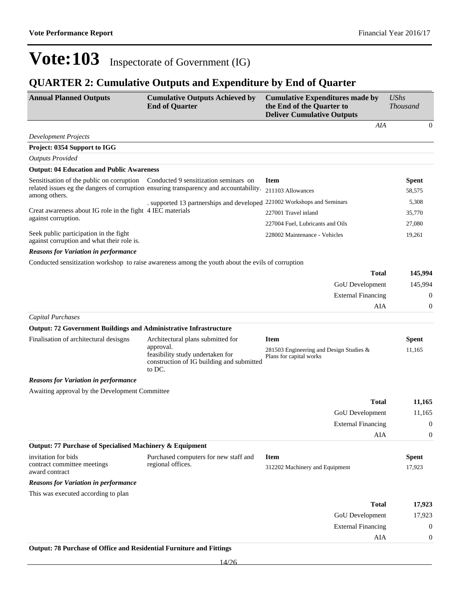## **QUARTER 2: Cumulative Outputs and Expenditure by End of Quarter**

| <b>Annual Planned Outputs</b>                                                        | <b>Cumulative Outputs Achieved by</b><br><b>End of Quarter</b>                                       | <b>Cumulative Expenditures made by</b><br>the End of the Quarter to<br><b>Deliver Cumulative Outputs</b> | <b>UShs</b><br><i>Thousand</i> |
|--------------------------------------------------------------------------------------|------------------------------------------------------------------------------------------------------|----------------------------------------------------------------------------------------------------------|--------------------------------|
|                                                                                      |                                                                                                      | AIA                                                                                                      | $\boldsymbol{0}$               |
| <b>Development Projects</b>                                                          |                                                                                                      |                                                                                                          |                                |
| Project: 0354 Support to IGG                                                         |                                                                                                      |                                                                                                          |                                |
| <b>Outputs Provided</b>                                                              |                                                                                                      |                                                                                                          |                                |
| <b>Output: 04 Education and Public Awareness</b>                                     |                                                                                                      |                                                                                                          |                                |
| Sensitisation of the public on corruption                                            | Conducted 9 sensitization seminars on                                                                | <b>Item</b>                                                                                              | <b>Spent</b>                   |
| among others.                                                                        | related issues eg the dangers of corruption ensuring transparency and accountability.                | 211103 Allowances                                                                                        | 58,575                         |
|                                                                                      | . supported 13 partnerships and developed 221002 Workshops and Seminars                              |                                                                                                          | 5,308                          |
| Creat awareness about IG role in the fight 4 IEC materials                           |                                                                                                      | 227001 Travel inland                                                                                     | 35,770                         |
| against corruption.                                                                  |                                                                                                      | 227004 Fuel, Lubricants and Oils                                                                         | 27,080                         |
| Seek public participation in the fight<br>against corruption and what their role is. |                                                                                                      | 228002 Maintenance - Vehicles                                                                            | 19,261                         |
| <b>Reasons for Variation in performance</b>                                          |                                                                                                      |                                                                                                          |                                |
|                                                                                      | Conducted sensitization workshop to raise awareness among the youth about the evils of corruption    |                                                                                                          |                                |
|                                                                                      |                                                                                                      | <b>Total</b>                                                                                             | 145,994                        |
|                                                                                      |                                                                                                      | GoU Development                                                                                          | 145,994                        |
|                                                                                      |                                                                                                      | <b>External Financing</b>                                                                                | $\boldsymbol{0}$               |
|                                                                                      |                                                                                                      | AIA                                                                                                      | $\boldsymbol{0}$               |
| <b>Capital Purchases</b>                                                             |                                                                                                      |                                                                                                          |                                |
| <b>Output: 72 Government Buildings and Administrative Infrastructure</b>             |                                                                                                      |                                                                                                          |                                |
| Finalisation of architectural desisgns                                               | Architectural plans submitted for                                                                    | <b>Item</b>                                                                                              | <b>Spent</b>                   |
|                                                                                      | approval.<br>feasibility study undertaken for<br>construction of IG building and submitted<br>to DC. | 281503 Engineering and Design Studies $\&$<br>Plans for capital works                                    | 11,165                         |
| <b>Reasons for Variation in performance</b>                                          |                                                                                                      |                                                                                                          |                                |
| Awaiting approval by the Development Committee                                       |                                                                                                      |                                                                                                          |                                |
|                                                                                      |                                                                                                      | <b>Total</b>                                                                                             | 11,165                         |
|                                                                                      |                                                                                                      | GoU Development                                                                                          | 11,165                         |
|                                                                                      |                                                                                                      | <b>External Financing</b>                                                                                | $\boldsymbol{0}$               |
|                                                                                      |                                                                                                      | AIA                                                                                                      | $\boldsymbol{0}$               |
| Output: 77 Purchase of Specialised Machinery & Equipment                             |                                                                                                      |                                                                                                          |                                |
| invitation for bids                                                                  | Purchased computers for new staff and                                                                | <b>Item</b>                                                                                              | <b>Spent</b>                   |
| contract committee meetings<br>award contract                                        | regional offices.                                                                                    | 312202 Machinery and Equipment                                                                           | 17,923                         |
| <b>Reasons for Variation in performance</b>                                          |                                                                                                      |                                                                                                          |                                |
| This was executed according to plan                                                  |                                                                                                      |                                                                                                          |                                |
|                                                                                      |                                                                                                      | <b>Total</b>                                                                                             | 17,923                         |
|                                                                                      |                                                                                                      | GoU Development                                                                                          | 17,923                         |
|                                                                                      |                                                                                                      | <b>External Financing</b>                                                                                | $\boldsymbol{0}$               |
|                                                                                      |                                                                                                      | AIA                                                                                                      | $\boldsymbol{0}$               |
| Output: 78 Purchase of Office and Residential Furniture and Fittings                 |                                                                                                      |                                                                                                          |                                |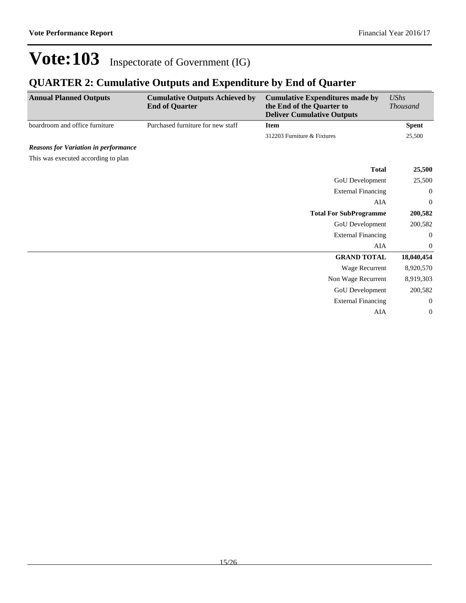### **QUARTER 2: Cumulative Outputs and Expenditure by End of Quarter**

| <b>Annual Planned Outputs</b>               | <b>Cumulative Outputs Achieved by</b><br><b>End of Quarter</b> | <b>Cumulative Expenditures made by</b><br>the End of the Quarter to<br><b>Deliver Cumulative Outputs</b> | <b>UShs</b><br><b>Thousand</b> |
|---------------------------------------------|----------------------------------------------------------------|----------------------------------------------------------------------------------------------------------|--------------------------------|
| boardroom and office furniture              | Purchased furniture for new staff                              | <b>Item</b>                                                                                              | <b>Spent</b>                   |
|                                             |                                                                | 312203 Furniture & Fixtures                                                                              | 25,500                         |
| <b>Reasons for Variation in performance</b> |                                                                |                                                                                                          |                                |
| This was executed according to plan         |                                                                |                                                                                                          |                                |
|                                             |                                                                | <b>Total</b>                                                                                             | 25,500                         |
|                                             |                                                                | GoU Development                                                                                          | 25,500                         |
|                                             |                                                                | <b>External Financing</b>                                                                                | $\overline{0}$                 |
|                                             |                                                                | <b>AIA</b>                                                                                               | $\boldsymbol{0}$               |
|                                             |                                                                | <b>Total For SubProgramme</b>                                                                            | 200,582                        |
|                                             |                                                                | GoU Development                                                                                          | 200,582                        |
|                                             |                                                                | <b>External Financing</b>                                                                                | 0                              |
|                                             |                                                                | AIA                                                                                                      | $\overline{0}$                 |
|                                             |                                                                | <b>GRAND TOTAL</b>                                                                                       | 18,040,454                     |
|                                             |                                                                | Wage Recurrent                                                                                           | 8,920,570                      |
|                                             |                                                                | Non Wage Recurrent                                                                                       | 8,919,303                      |
|                                             |                                                                | GoU Development                                                                                          | 200,582                        |
|                                             |                                                                | <b>External Financing</b>                                                                                | $\theta$                       |
|                                             |                                                                | AIA                                                                                                      | $\boldsymbol{0}$               |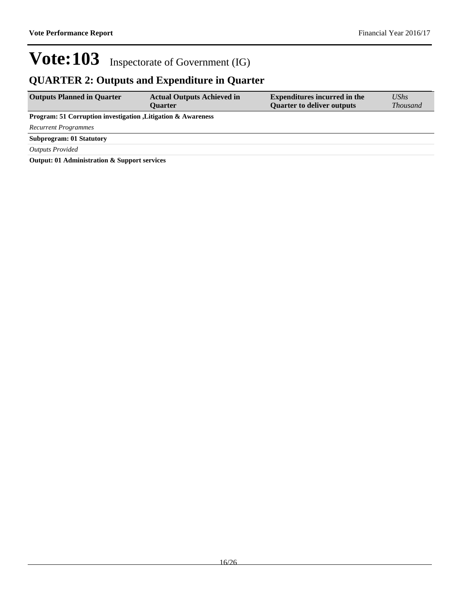## **QUARTER 2: Outputs and Expenditure in Quarter**

| <b>Outputs Planned in Quarter</b>                                        | <b>Actual Outputs Achieved in</b><br><b>Ouarter</b> | <b>Expenditures incurred in the</b><br><b>Quarter to deliver outputs</b> | $\mathit{UShs}$<br><i>Thousand</i> |
|--------------------------------------------------------------------------|-----------------------------------------------------|--------------------------------------------------------------------------|------------------------------------|
| <b>Program: 51 Corruption investigation , Litigation &amp; Awareness</b> |                                                     |                                                                          |                                    |
| <b>Recurrent Programmes</b>                                              |                                                     |                                                                          |                                    |
| <b>Subprogram: 01 Statutory</b>                                          |                                                     |                                                                          |                                    |
| <b>Outputs Provided</b>                                                  |                                                     |                                                                          |                                    |
| Output: 01 Administration & Support services                             |                                                     |                                                                          |                                    |

**Output: 01 Administration & Support services**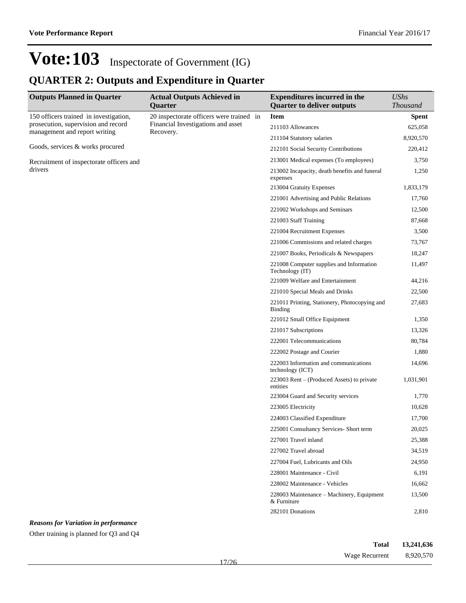## **QUARTER 2: Outputs and Expenditure in Quarter**

| <b>Outputs Planned in Quarter</b>                                             | <b>Actual Outputs Achieved in</b>                                              | <b>Expenditures incurred in the</b>                             | <b>UShs</b>  |
|-------------------------------------------------------------------------------|--------------------------------------------------------------------------------|-----------------------------------------------------------------|--------------|
|                                                                               | Quarter                                                                        | <b>Quarter to deliver outputs</b>                               | Thousand     |
| 150 officers trained in investigation,<br>prosecution, supervision and record | 20 inspectorate officers were trained in<br>Financial Investigations and asset | <b>Item</b>                                                     | <b>Spent</b> |
| management and report writing                                                 | Recovery.                                                                      | 211103 Allowances                                               | 625,058      |
|                                                                               |                                                                                | 211104 Statutory salaries                                       | 8,920,570    |
| Goods, services & works procured                                              |                                                                                | 212101 Social Security Contributions                            | 220,412      |
| Recruitment of inspectorate officers and                                      |                                                                                | 213001 Medical expenses (To employees)                          | 3,750        |
| drivers                                                                       |                                                                                | 213002 Incapacity, death benefits and funeral<br>expenses       | 1,250        |
|                                                                               |                                                                                | 213004 Gratuity Expenses                                        | 1,833,179    |
|                                                                               |                                                                                | 221001 Advertising and Public Relations                         | 17,760       |
|                                                                               |                                                                                | 221002 Workshops and Seminars                                   | 12,500       |
|                                                                               |                                                                                | 221003 Staff Training                                           | 87,668       |
|                                                                               |                                                                                | 221004 Recruitment Expenses                                     | 3,500        |
|                                                                               |                                                                                | 221006 Commissions and related charges                          | 73,767       |
|                                                                               |                                                                                | 221007 Books, Periodicals & Newspapers                          | 18,247       |
|                                                                               |                                                                                | 221008 Computer supplies and Information<br>Technology (IT)     | 11,497       |
|                                                                               |                                                                                | 221009 Welfare and Entertainment                                | 44,216       |
|                                                                               |                                                                                | 221010 Special Meals and Drinks                                 | 22,500       |
|                                                                               |                                                                                | 221011 Printing, Stationery, Photocopying and<br><b>Binding</b> | 27,683       |
|                                                                               |                                                                                | 221012 Small Office Equipment                                   | 1,350        |
|                                                                               |                                                                                | 221017 Subscriptions                                            | 13,326       |
|                                                                               |                                                                                | 222001 Telecommunications                                       | 80,784       |
|                                                                               |                                                                                | 222002 Postage and Courier                                      | 1,880        |
|                                                                               |                                                                                | 222003 Information and communications<br>technology (ICT)       | 14,696       |
|                                                                               |                                                                                | 223003 Rent - (Produced Assets) to private<br>entities          | 1,031,901    |
|                                                                               |                                                                                | 223004 Guard and Security services                              | 1,770        |
|                                                                               |                                                                                | 223005 Electricity                                              | 10,628       |
|                                                                               |                                                                                | 224003 Classified Expenditure                                   | 17,700       |
|                                                                               |                                                                                | 225001 Consultancy Services- Short term                         | 20,025       |
|                                                                               |                                                                                | 227001 Travel inland                                            | 25,388       |
|                                                                               |                                                                                | 227002 Travel abroad                                            | 34,519       |
|                                                                               |                                                                                | 227004 Fuel, Lubricants and Oils                                | 24,950       |
|                                                                               |                                                                                | 228001 Maintenance - Civil                                      | 6,191        |
|                                                                               |                                                                                | 228002 Maintenance - Vehicles                                   | 16,662       |
|                                                                               |                                                                                | 228003 Maintenance – Machinery, Equipment<br>& Furniture        | 13,500       |
|                                                                               |                                                                                | 282101 Donations                                                | 2,810        |

#### *Reasons for Variation in performance*

Other training is planned for Q3 and Q4

| Total          | 13,241,636 |
|----------------|------------|
| Wage Recurrent | 8,920,570  |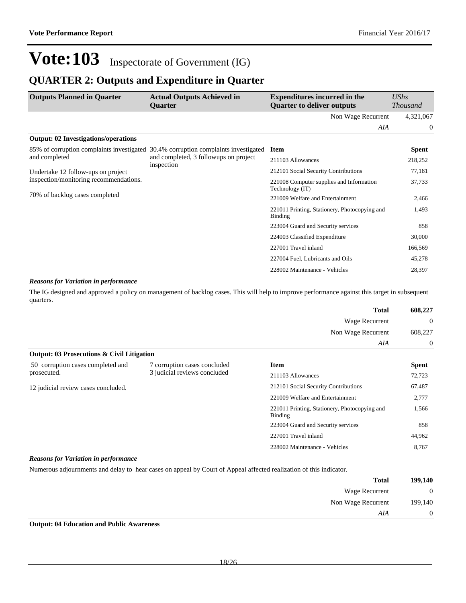### **QUARTER 2: Outputs and Expenditure in Quarter**

| <b>Outputs Planned in Quarter</b>           | <b>Actual Outputs Achieved in</b><br><b>Ouarter</b>                                | <b>Expenditures incurred in the</b><br><b>Ouarter to deliver outputs</b> | UShs<br><b>Thousand</b> |
|---------------------------------------------|------------------------------------------------------------------------------------|--------------------------------------------------------------------------|-------------------------|
|                                             |                                                                                    | Non Wage Recurrent                                                       | 4,321,067               |
|                                             |                                                                                    | AIA                                                                      | $\theta$                |
| <b>Output: 02 Investigations/operations</b> |                                                                                    |                                                                          |                         |
|                                             | 85% of corruption complaints investigated 30.4% corruption complaints investigated | <b>Item</b>                                                              | <b>Spent</b>            |
| and completed                               | and completed, 3 following on project<br>inspection                                | 211103 Allowances                                                        | 218,252                 |
| Undertake 12 follow-ups on project          |                                                                                    | 212101 Social Security Contributions                                     | 77,181                  |
| inspection/monitoring recommendations.      |                                                                                    | 221008 Computer supplies and Information<br>Technology (IT)              | 37,733                  |
| 70% of backlog cases completed              |                                                                                    | 221009 Welfare and Entertainment                                         | 2,466                   |
|                                             |                                                                                    | 221011 Printing, Stationery, Photocopying and<br>Binding                 | 1,493                   |
|                                             |                                                                                    | 223004 Guard and Security services                                       | 858                     |
|                                             |                                                                                    | 224003 Classified Expenditure                                            | 30,000                  |
|                                             |                                                                                    | 227001 Travel inland                                                     | 166,569                 |
|                                             |                                                                                    | 227004 Fuel, Lubricants and Oils                                         | 45,278                  |
|                                             |                                                                                    | 228002 Maintenance - Vehicles                                            | 28,397                  |

#### *Reasons for Variation in performance*

The IG designed and approved a policy on management of backlog cases. This will help to improve performance against this target in subsequent quarters.

|                                                       |                                                                                                                    | <b>Total</b>                                                    | 608,227        |
|-------------------------------------------------------|--------------------------------------------------------------------------------------------------------------------|-----------------------------------------------------------------|----------------|
|                                                       |                                                                                                                    | Wage Recurrent                                                  | $\theta$       |
|                                                       |                                                                                                                    | Non Wage Recurrent                                              | 608,227        |
|                                                       |                                                                                                                    | AIA                                                             | $\overline{0}$ |
| <b>Output: 03 Prosecutions &amp; Civil Litigation</b> |                                                                                                                    |                                                                 |                |
| 50 corruption cases completed and                     | 7 corruption cases concluded                                                                                       | <b>Item</b>                                                     | <b>Spent</b>   |
| prosecuted.                                           | 3 judicial reviews concluded                                                                                       | 211103 Allowances                                               | 72,723         |
| 12 judicial review cases concluded.                   |                                                                                                                    | 212101 Social Security Contributions                            | 67,487         |
|                                                       |                                                                                                                    | 221009 Welfare and Entertainment                                | 2,777          |
|                                                       |                                                                                                                    | 221011 Printing, Stationery, Photocopying and<br><b>Binding</b> | 1,566          |
|                                                       |                                                                                                                    | 223004 Guard and Security services                              | 858            |
|                                                       |                                                                                                                    | 227001 Travel inland                                            | 44,962         |
|                                                       |                                                                                                                    | 228002 Maintenance - Vehicles                                   | 8,767          |
| <b>Reasons for Variation in performance</b>           |                                                                                                                    |                                                                 |                |
|                                                       | Numerous adjournments and delay to hear cases on appeal by Court of Appeal affected realization of this indicator. |                                                                 |                |

| 199,140        | <b>Total</b>       |
|----------------|--------------------|
| $\overline{0}$ | Wage Recurrent     |
| 199,140        | Non Wage Recurrent |
| $\overline{0}$ | AIA                |

**Output: 04 Education and Public Awareness**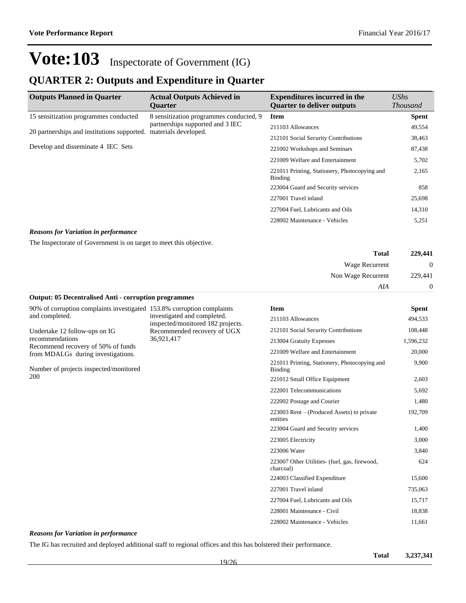### **QUARTER 2: Outputs and Expenditure in Quarter**

| <b>Outputs Planned in Quarter</b>           | <b>Actual Outputs Achieved in</b><br><b>Ouarter</b>      | <b>Expenditures incurred in the</b><br><b>Ouarter to deliver outputs</b> | $\mathit{UShs}$<br><i>Thousand</i> |
|---------------------------------------------|----------------------------------------------------------|--------------------------------------------------------------------------|------------------------------------|
| 15 sensitization programmes conducted       | 8 sensitization programmes conducted, 9                  | <b>Item</b>                                                              | <b>Spent</b>                       |
| 20 partnerships and institutions supported. | partnerships supported and 3 IEC<br>materials developed. | 211103 Allowances                                                        | 49,554                             |
|                                             |                                                          | 212101 Social Security Contributions                                     | 38,463                             |
| Develop and disseminate 4 IEC Sets          |                                                          | 221002 Workshops and Seminars                                            | 87,438                             |
|                                             |                                                          | 221009 Welfare and Entertainment                                         | 5,702                              |
|                                             |                                                          | 221011 Printing, Stationery, Photocopying and<br>Binding                 | 2,165                              |
|                                             |                                                          | 223004 Guard and Security services                                       | 858                                |
|                                             |                                                          | 227001 Travel inland                                                     | 25,698                             |
|                                             |                                                          | 227004 Fuel, Lubricants and Oils                                         | 14,310                             |
|                                             |                                                          | 228002 Maintenance - Vehicles                                            | 5,251                              |

#### *Reasons for Variation in performance*

The Inspectorate of Government is on target to meet this objective.

| 229,441          | <b>Total</b>          |
|------------------|-----------------------|
| $\boldsymbol{0}$ | <b>Wage Recurrent</b> |
| 229,441          | Non Wage Recurrent    |
| $\overline{0}$   | AIA                   |

#### **Output: 05 Decentralised Anti - corruption programmes**

90% of corruption complaints investigated 153.8% corruption complaints and completed. Undertake 12 follow-ups on IG investigated and completed. inspected/monitored 182 projects.

recommendations Recommend recovery of 50% of funds from MDALGs during investigations.

Number of projects inspected/monitored 200

Recommended recovery of UGX 36,921,417

| <b>Item</b>                                                | Spent     |
|------------------------------------------------------------|-----------|
| 211103 Allowances                                          | 494,533   |
| 212101 Social Security Contributions                       | 108,448   |
| 213004 Gratuity Expenses                                   | 1,596,232 |
| 221009 Welfare and Entertainment                           | 20,000    |
| 221011 Printing, Stationery, Photocopying and<br>Binding   | 9,900     |
| 221012 Small Office Equipment                              | 2,603     |
| 222001 Telecommunications                                  | 5,692     |
| 222002 Postage and Courier                                 | 1,480     |
| 223003 Rent – (Produced Assets) to private<br>entities     | 192,709   |
| 223004 Guard and Security services                         | 1,400     |
| 223005 Electricity                                         | 3,000     |
| 223006 Water                                               | 3,840     |
| 223007 Other Utilities- (fuel, gas, firewood,<br>charcoal) | 624       |
| 224003 Classified Expenditure                              | 15,600    |
| 227001 Travel inland                                       | 735,063   |
| 227004 Fuel, Lubricants and Oils                           | 15,717    |
| 228001 Maintenance - Civil                                 | 18,838    |
| 228002 Maintenance - Vehicles                              | 11,661    |

#### *Reasons for Variation in performance*

The IG has recruited and deployed additional staff to regional offices and this has bolstered their performance.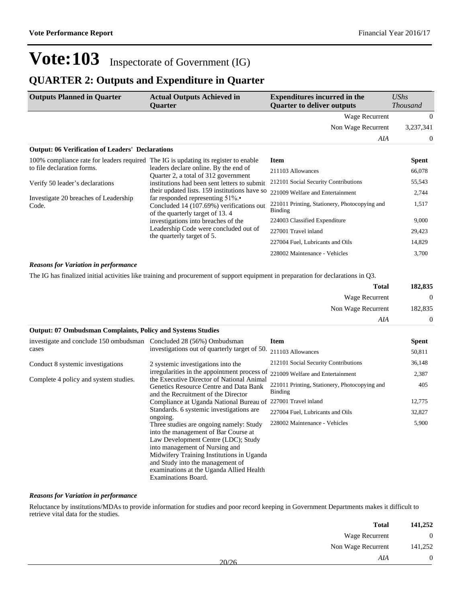1,517

221011 Printing, Stationery, Photocopying and

224003 Classified Expenditure 9,000 227001 Travel inland 29,423 227004 Fuel, Lubricants and Oils 14,829 228002 Maintenance - Vehicles 3,700

Binding

## **Vote:103** Inspectorate of Government (IG)

### **QUARTER 2: Outputs and Expenditure in Quarter**

| <b>Outputs Planned in Quarter</b>                                                   | <b>Actual Outputs Achieved in</b><br><b>Ouarter</b>                           | <b>Expenditures incurred in the</b><br><b>Ouarter to deliver outputs</b> | $\mathit{UShs}$<br><b>Thousand</b> |
|-------------------------------------------------------------------------------------|-------------------------------------------------------------------------------|--------------------------------------------------------------------------|------------------------------------|
|                                                                                     |                                                                               | Wage Recurrent                                                           | $\Omega$                           |
|                                                                                     |                                                                               | Non Wage Recurrent                                                       | 3,237,341                          |
|                                                                                     |                                                                               | AIA                                                                      | $\Omega$                           |
| <b>Output: 06 Verification of Leaders' Declarations</b>                             |                                                                               |                                                                          |                                    |
| 100% compliance rate for leaders required The IG is updating its register to enable |                                                                               | Item                                                                     | <b>Spent</b>                       |
| to file declaration forms.                                                          | leaders declare online. By the end of<br>Quarter 2, a total of 312 government | 211103 Allowances                                                        | 66,078                             |
| Verify 50 leader's declarations                                                     | institutions had been sent letters to submit                                  | 212101 Social Security Contributions                                     | 55,543                             |
|                                                                                     | their updated lists. 159 institutions have so                                 | 221009 Welfare and Entertainment                                         | 2.744                              |

Investigate 20 breaches of Leadership Code.

#### *Reasons for Variation in performance*

The IG has finalized initial activities like training and procurement of support equipment in preparation for declarations in Q3.

far responded representing 51%. Concluded 14 (107.69%) verifications out

of the quarterly target of 13. 4 investigations into breaches of the Leadership Code were concluded out of

the quarterly target of 5.

| 182,835        | Total              |  |
|----------------|--------------------|--|
| $\mathbf{0}$   | Wage Recurrent     |  |
| 182,835        | Non Wage Recurrent |  |
| $\overline{0}$ | AIA                |  |

#### **Output: 07 Ombudsman Complaints, Policy and Systems Studies**

| investigate and conclude 150 ombudsman                                                                                                                              | Concluded 28 (56%) Ombudsman                                                  | <b>Item</b>                          | <b>Spent</b> |
|---------------------------------------------------------------------------------------------------------------------------------------------------------------------|-------------------------------------------------------------------------------|--------------------------------------|--------------|
| cases                                                                                                                                                               | investigations out of quarterly target of 50.                                 | 211103 Allowances                    | 50,811       |
| Conduct 8 systemic investigations                                                                                                                                   | 2 systemic investigations into the                                            | 212101 Social Security Contributions | 36,148       |
|                                                                                                                                                                     | irregularities in the appointment process of 221009 Welfare and Entertainment |                                      | 2,387        |
| the Executive Director of National Animal<br>Complete 4 policy and system studies.<br>Genetics Resource Centre and Data Bank<br>and the Recruitment of the Director | 221011 Printing, Stationery, Photocopying and<br><b>Binding</b>               | 405                                  |              |
|                                                                                                                                                                     | Compliance at Uganda National Bureau of 227001 Travel inland                  |                                      | 12,775       |
|                                                                                                                                                                     | Standards. 6 systemic investigations are<br>ongoing.                          | 227004 Fuel, Lubricants and Oils     | 32,827       |
|                                                                                                                                                                     | Three studies are ongoing namely: Study                                       | 228002 Maintenance - Vehicles        | 5,900        |
|                                                                                                                                                                     | into the management of Bar Course at                                          |                                      |              |
|                                                                                                                                                                     | Law Development Centre (LDC); Study                                           |                                      |              |
|                                                                                                                                                                     | into management of Nursing and                                                |                                      |              |
|                                                                                                                                                                     | Midwifery Training Institutions in Uganda                                     |                                      |              |
|                                                                                                                                                                     | and Study into the management of                                              |                                      |              |
|                                                                                                                                                                     | examinations at the Uganda Allied Health                                      |                                      |              |
|                                                                                                                                                                     | Examinations Board.                                                           |                                      |              |

#### *Reasons for Variation in performance*

Reluctance by institutions/MDAs to provide information for studies and poor record keeping in Government Departments makes it difficult to retrieve vital data for the studies.

| 141,252 | <b>Total</b>       |       |
|---------|--------------------|-------|
| 0       | Wage Recurrent     |       |
| 141,252 | Non Wage Recurrent |       |
|         | AIA                | 20/26 |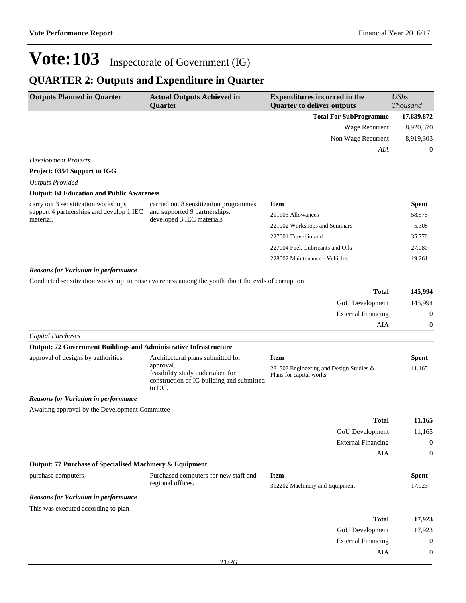## **QUARTER 2: Outputs and Expenditure in Quarter**

| <b>Outputs Planned in Quarter</b>                                        | <b>Actual Outputs Achieved in</b><br>Quarter                                                         | <b>Expenditures incurred in the</b><br><b>Quarter to deliver outputs</b> | <b>UShs</b><br><b>Thousand</b> |
|--------------------------------------------------------------------------|------------------------------------------------------------------------------------------------------|--------------------------------------------------------------------------|--------------------------------|
|                                                                          |                                                                                                      | <b>Total For SubProgramme</b>                                            | 17,839,872                     |
|                                                                          |                                                                                                      | Wage Recurrent                                                           | 8,920,570                      |
|                                                                          |                                                                                                      | Non Wage Recurrent                                                       | 8,919,303                      |
|                                                                          |                                                                                                      | AIA                                                                      | $\boldsymbol{0}$               |
| <b>Development Projects</b>                                              |                                                                                                      |                                                                          |                                |
| Project: 0354 Support to IGG                                             |                                                                                                      |                                                                          |                                |
| <b>Outputs Provided</b>                                                  |                                                                                                      |                                                                          |                                |
| <b>Output: 04 Education and Public Awareness</b>                         |                                                                                                      |                                                                          |                                |
| carry out 3 sensitization workshops                                      | carried out 8 sensitization programmes                                                               | <b>Item</b>                                                              | <b>Spent</b>                   |
| support 4 partnerships and develop 1 IEC<br>material.                    | and supported 9 partnerships.<br>developed 3 IEC materials                                           | 211103 Allowances                                                        | 58,575                         |
|                                                                          |                                                                                                      | 221002 Workshops and Seminars                                            | 5,308                          |
|                                                                          |                                                                                                      | 227001 Travel inland                                                     | 35,770                         |
|                                                                          |                                                                                                      | 227004 Fuel, Lubricants and Oils                                         | 27,080                         |
|                                                                          |                                                                                                      | 228002 Maintenance - Vehicles                                            | 19,261                         |
| <b>Reasons for Variation in performance</b>                              |                                                                                                      |                                                                          |                                |
|                                                                          | Conducted sensitization workshop to raise awareness among the youth about the evils of corruption    |                                                                          |                                |
|                                                                          |                                                                                                      | <b>Total</b>                                                             | 145,994                        |
|                                                                          |                                                                                                      | GoU Development                                                          | 145,994                        |
|                                                                          |                                                                                                      | <b>External Financing</b>                                                | $\mathbf{0}$                   |
|                                                                          |                                                                                                      | AIA                                                                      | $\mathbf{0}$                   |
| <b>Capital Purchases</b>                                                 |                                                                                                      |                                                                          |                                |
| <b>Output: 72 Government Buildings and Administrative Infrastructure</b> |                                                                                                      |                                                                          |                                |
| approval of designs by authorities.                                      | Architectural plans submitted for                                                                    | <b>Item</b>                                                              | Spent                          |
|                                                                          | approval.<br>feasibility study undertaken for<br>construction of IG building and submitted<br>to DC. | 281503 Engineering and Design Studies &<br>Plans for capital works       | 11,165                         |
| <b>Reasons for Variation in performance</b>                              |                                                                                                      |                                                                          |                                |
| Awaiting approval by the Development Committee                           |                                                                                                      |                                                                          |                                |
|                                                                          |                                                                                                      | <b>Total</b>                                                             | 11,165                         |
|                                                                          |                                                                                                      | <b>GoU</b> Development                                                   | 11,165                         |
|                                                                          |                                                                                                      | <b>External Financing</b>                                                | $\boldsymbol{0}$               |
|                                                                          |                                                                                                      | AIA                                                                      | $\boldsymbol{0}$               |
| Output: 77 Purchase of Specialised Machinery & Equipment                 |                                                                                                      |                                                                          |                                |
| purchase computers                                                       | Purchased computers for new staff and                                                                | <b>Item</b>                                                              | <b>Spent</b>                   |
|                                                                          | regional offices.                                                                                    | 312202 Machinery and Equipment                                           | 17,923                         |
| <b>Reasons for Variation in performance</b>                              |                                                                                                      |                                                                          |                                |
| This was executed according to plan                                      |                                                                                                      |                                                                          |                                |
|                                                                          |                                                                                                      | <b>Total</b>                                                             | 17,923                         |
|                                                                          |                                                                                                      | GoU Development                                                          | 17,923                         |
|                                                                          |                                                                                                      | <b>External Financing</b>                                                | $\boldsymbol{0}$               |
|                                                                          |                                                                                                      | AIA                                                                      | $\mathbf{0}$                   |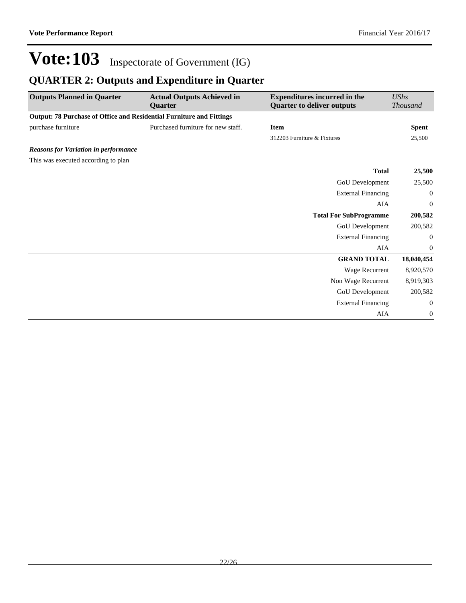## **QUARTER 2: Outputs and Expenditure in Quarter**

| <b>Outputs Planned in Quarter</b>                                    | <b>Actual Outputs Achieved in</b><br><b>Ouarter</b> | <b>Expenditures incurred in the</b><br><b>Quarter to deliver outputs</b> | <b>UShs</b><br><b>Thousand</b> |
|----------------------------------------------------------------------|-----------------------------------------------------|--------------------------------------------------------------------------|--------------------------------|
| Output: 78 Purchase of Office and Residential Furniture and Fittings |                                                     |                                                                          |                                |
| purchase furniture                                                   | Purchased furniture for new staff.                  | <b>Item</b>                                                              | <b>Spent</b>                   |
|                                                                      |                                                     | 312203 Furniture & Fixtures                                              | 25,500                         |
| <b>Reasons for Variation in performance</b>                          |                                                     |                                                                          |                                |
| This was executed according to plan                                  |                                                     |                                                                          |                                |
|                                                                      |                                                     | <b>Total</b>                                                             | 25,500                         |
|                                                                      |                                                     | GoU Development                                                          | 25,500                         |
|                                                                      |                                                     | <b>External Financing</b>                                                | $\overline{0}$                 |
|                                                                      |                                                     | <b>AIA</b>                                                               | $\mathbf{0}$                   |
|                                                                      |                                                     | <b>Total For SubProgramme</b>                                            | 200,582                        |
|                                                                      |                                                     | GoU Development                                                          | 200,582                        |
|                                                                      |                                                     | <b>External Financing</b>                                                | 0                              |
|                                                                      |                                                     | AIA                                                                      | $\mathbf{0}$                   |
|                                                                      |                                                     | <b>GRAND TOTAL</b>                                                       | 18,040,454                     |
|                                                                      |                                                     | Wage Recurrent                                                           | 8,920,570                      |
|                                                                      |                                                     | Non Wage Recurrent                                                       | 8,919,303                      |
|                                                                      |                                                     | GoU Development                                                          | 200,582                        |
|                                                                      |                                                     | <b>External Financing</b>                                                | $\boldsymbol{0}$               |
|                                                                      |                                                     | AIA                                                                      | $\boldsymbol{0}$               |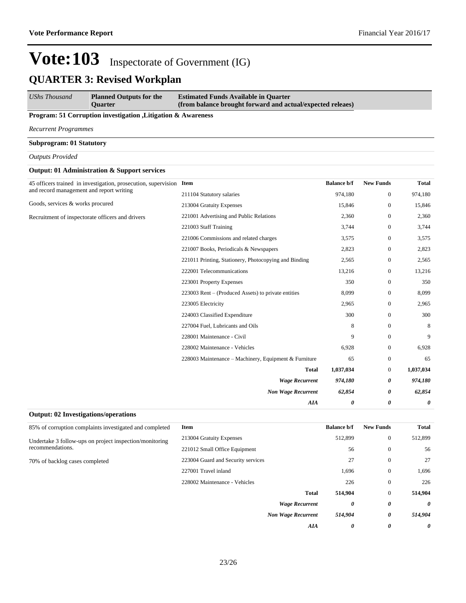*UShs Thousand* **Planned Outputs for the Quarter Estimated Funds Available in Quarter (from balance brought forward and actual/expected releaes)**

#### **Program: 51 Corruption investigation ,Litigation & Awareness**

*Recurrent Programmes*

**Subprogram: 01 Statutory**

*Outputs Provided*

#### **Output: 01 Administration & Support services**

**Output: 02 Investigations/operations**

| 45 officers trained in investigation, prosecution, supervision Item |                                                       | <b>Balance b/f</b> | <b>New Funds</b> | <b>Total</b> |
|---------------------------------------------------------------------|-------------------------------------------------------|--------------------|------------------|--------------|
| and record management and report writing                            | 211104 Statutory salaries                             | 974,180            | $\mathbf{0}$     | 974,180      |
| Goods, services & works procured                                    | 213004 Gratuity Expenses                              | 15,846             | $\mathbf{0}$     | 15,846       |
| Recruitment of inspectorate officers and drivers                    | 221001 Advertising and Public Relations               | 2,360              | $\mathbf{0}$     | 2,360        |
|                                                                     | 221003 Staff Training                                 | 3,744              | $\mathbf{0}$     | 3,744        |
|                                                                     | 221006 Commissions and related charges                | 3,575              | $\mathbf{0}$     | 3,575        |
|                                                                     | 221007 Books, Periodicals & Newspapers                | 2,823              | $\mathbf{0}$     | 2,823        |
|                                                                     | 221011 Printing, Stationery, Photocopying and Binding | 2,565              | $\mathbf{0}$     | 2,565        |
|                                                                     | 222001 Telecommunications                             | 13,216             | $\mathbf{0}$     | 13,216       |
|                                                                     | 223001 Property Expenses                              | 350                | $\mathbf{0}$     | 350          |
|                                                                     | 223003 Rent – (Produced Assets) to private entities   | 8,099              | $\mathbf{0}$     | 8,099        |
|                                                                     | 223005 Electricity                                    | 2,965              | $\mathbf{0}$     | 2,965        |
|                                                                     | 224003 Classified Expenditure                         | 300                | $\mathbf{0}$     | 300          |
|                                                                     | 227004 Fuel, Lubricants and Oils                      | 8                  | $\mathbf{0}$     | 8            |
|                                                                     | 228001 Maintenance - Civil                            | 9                  | $\mathbf{0}$     | 9            |
|                                                                     | 228002 Maintenance - Vehicles                         | 6,928              | $\mathbf{0}$     | 6,928        |
|                                                                     | 228003 Maintenance – Machinery, Equipment & Furniture | 65                 | $\mathbf{0}$     | 65           |
|                                                                     | <b>Total</b>                                          | 1,037,034          | $\mathbf{0}$     | 1,037,034    |
|                                                                     | <b>Wage Recurrent</b>                                 | 974,180            | 0                | 974,180      |
|                                                                     | <b>Non Wage Recurrent</b>                             | 62,854             | 0                | 62,854       |
|                                                                     | <b>AIA</b>                                            | 0                  | 0                | 0            |

| 85% of corruption complaints investigated and completed | Item                               | <b>Balance b/f</b> | <b>New Funds</b> | <b>Total</b> |
|---------------------------------------------------------|------------------------------------|--------------------|------------------|--------------|
| Undertake 3 follow-ups on project inspection/monitoring | 213004 Gratuity Expenses           | 512,899            | $\mathbf{0}$     | 512,899      |
| recommendations.                                        | 221012 Small Office Equipment      | 56                 | $\theta$         | 56           |
| 70% of backlog cases completed                          | 223004 Guard and Security services | 27                 | $\theta$         | 27           |
|                                                         | 227001 Travel inland               | 1,696              | $\mathbf{0}$     | 1,696        |
|                                                         | 228002 Maintenance - Vehicles      | 226                | $\mathbf{0}$     | 226          |
|                                                         | <b>Total</b>                       | 514,904            | $\mathbf{0}$     | 514,904      |
|                                                         | <b>Wage Recurrent</b>              | 0                  | 0                | $\theta$     |
|                                                         | <b>Non Wage Recurrent</b>          | 514,904            | 0                | 514,904      |
|                                                         | AIA                                | 0                  | 0                | 0            |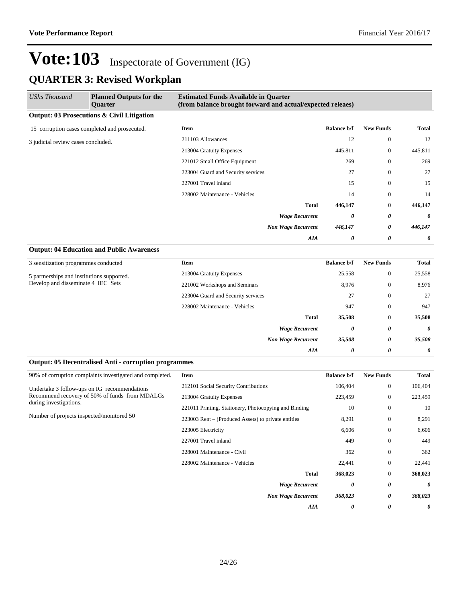| <b>UShs Thousand</b>               | <b>Planned Outputs for the</b><br><b>Ouarter</b> | <b>Estimated Funds Available in Quarter</b><br>(from balance brought forward and actual/expected releaes) |                    |                  |              |
|------------------------------------|--------------------------------------------------|-----------------------------------------------------------------------------------------------------------|--------------------|------------------|--------------|
|                                    | Output: 03 Prosecutions & Civil Litigation       |                                                                                                           |                    |                  |              |
|                                    | 15 corruption cases completed and prosecuted.    | Item                                                                                                      | <b>Balance b/f</b> | <b>New Funds</b> | <b>Total</b> |
| 3 judicial review cases concluded. |                                                  | 211103 Allowances                                                                                         | 12                 | $\mathbf{0}$     | 12           |
|                                    | 213004 Gratuity Expenses                         | 445,811                                                                                                   | $\mathbf{0}$       | 445,811          |              |
|                                    |                                                  | 221012 Small Office Equipment                                                                             | 269                | $\Omega$         | 269          |
|                                    |                                                  | 223004 Guard and Security services                                                                        | 27                 | $\mathbf{0}$     | 27           |
|                                    |                                                  | 227001 Travel inland                                                                                      | 15                 | $\mathbf{0}$     | 15           |
|                                    |                                                  | 228002 Maintenance - Vehicles                                                                             | 14                 | $\mathbf{0}$     | 14           |
|                                    |                                                  | <b>Total</b>                                                                                              | 446,147            | $\theta$         | 446,147      |
|                                    |                                                  | <b>Wage Recurrent</b>                                                                                     | 0                  | 0                | 0            |
|                                    |                                                  | <b>Non Wage Recurrent</b>                                                                                 | 446,147            | 0                | 446,147      |
|                                    |                                                  | AIA                                                                                                       | 0                  | 0                | $\theta$     |
|                                    | <b>Output: 04 Education and Public Awareness</b> |                                                                                                           |                    |                  |              |

| 3 sensitization programmes conducted                                             | <b>Item</b>                        | <b>Balance b/f</b> | <b>New Funds</b> | Total                 |
|----------------------------------------------------------------------------------|------------------------------------|--------------------|------------------|-----------------------|
| 5 partnerships and institutions supported.<br>Develop and disseminate 4 IEC Sets | 213004 Gratuity Expenses           | 25,558             | $\mathbf{0}$     | 25,558                |
|                                                                                  | 221002 Workshops and Seminars      | 8,976              | $\theta$         | 8,976                 |
|                                                                                  | 223004 Guard and Security services | 27                 | $\theta$         | 27                    |
|                                                                                  | 228002 Maintenance - Vehicles      | 947                | $\theta$         | 947                   |
|                                                                                  | <b>Total</b>                       | 35,508             | $\theta$         | 35,508                |
|                                                                                  | <b>Wage Recurrent</b>              | 0                  | 0                | 0                     |
|                                                                                  | <b>Non Wage Recurrent</b>          | 35,508             | 0                | 35,508                |
|                                                                                  | AIA                                | 0                  | 0                | $\boldsymbol{\theta}$ |

|  | <b>Output: 05 Decentralised Anti - corruption programmes</b> |  |  |
|--|--------------------------------------------------------------|--|--|
|--|--------------------------------------------------------------|--|--|

| 90% of corruption complaints investigated and completed.                 | Item                                                  | <b>Balance b/f</b> | <b>New Funds</b> | <b>Total</b> |
|--------------------------------------------------------------------------|-------------------------------------------------------|--------------------|------------------|--------------|
| Undertake 3 follow-ups on IG recommendations                             | 212101 Social Security Contributions                  | 106,404            | $\mathbf{0}$     | 106,404      |
| Recommend recovery of 50% of funds from MDALGs<br>during investigations. | 213004 Gratuity Expenses                              | 223,459            | $\mathbf{0}$     | 223,459      |
|                                                                          | 221011 Printing, Stationery, Photocopying and Binding | 10                 | $\mathbf{0}$     | 10           |
| Number of projects inspected/monitored 50                                | 223003 Rent – (Produced Assets) to private entities   | 8,291              | $\mathbf{0}$     | 8,291        |
|                                                                          | 223005 Electricity                                    | 6,606              | $\mathbf{0}$     | 6,606        |
|                                                                          | 227001 Travel inland                                  | 449                | $\mathbf{0}$     | 449          |
|                                                                          | 228001 Maintenance - Civil                            | 362                | $\mathbf{0}$     | 362          |
|                                                                          | 228002 Maintenance - Vehicles                         | 22,441             | $\mathbf{0}$     | 22,441       |
|                                                                          | <b>Total</b>                                          | 368,023            | $\mathbf{0}$     | 368,023      |
|                                                                          | <b>Wage Recurrent</b>                                 | 0                  | 0                | 0            |
|                                                                          | <b>Non Wage Recurrent</b>                             | 368,023            | 0                | 368,023      |
|                                                                          | AIA                                                   | 0                  | 0                | 0            |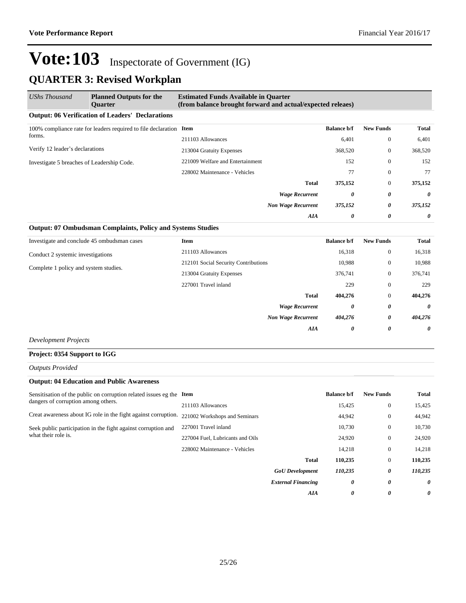| <b>UShs Thousand</b>                                                         | <b>Planned Outputs for the</b><br><b>Ouarter</b>        | <b>Estimated Funds Available in Quarter</b><br>(from balance brought forward and actual/expected releaes) |                  |              |         |
|------------------------------------------------------------------------------|---------------------------------------------------------|-----------------------------------------------------------------------------------------------------------|------------------|--------------|---------|
|                                                                              | <b>Output: 06 Verification of Leaders' Declarations</b> |                                                                                                           |                  |              |         |
| 100% compliance rate for leaders required to file declaration Item<br>forms. |                                                         | <b>Balance b/f</b>                                                                                        | <b>New Funds</b> | Total        |         |
|                                                                              | 211103 Allowances                                       | 6,401                                                                                                     | $\mathbf{0}$     | 6,401        |         |
| Verify 12 leader's declarations                                              |                                                         | 213004 Gratuity Expenses                                                                                  | 368,520          | $\mathbf{0}$ | 368,520 |
| Investigate 5 breaches of Leadership Code.                                   | 221009 Welfare and Entertainment                        | 152                                                                                                       | $\theta$         | 152          |         |
|                                                                              | 228002 Maintenance - Vehicles                           | 77                                                                                                        | $\theta$         | 77           |         |
|                                                                              |                                                         | Total                                                                                                     | 375,152          | $\mathbf{0}$ | 375,152 |
|                                                                              |                                                         | <b>Wage Recurrent</b>                                                                                     | 0                | 0            | 0       |
|                                                                              |                                                         | <b>Non Wage Recurrent</b>                                                                                 | 375,152          | 0            | 375,152 |
|                                                                              |                                                         | AIA                                                                                                       | 0                | 0            | 0       |

#### **Output: 07 Ombudsman Complaints, Policy and Systems Studies**

| Investigate and conclude 45 ombudsman cases | <b>Item</b>                          | <b>Balance b/f</b> | <b>New Funds</b> | Total   |
|---------------------------------------------|--------------------------------------|--------------------|------------------|---------|
| Conduct 2 systemic investigations           | 211103 Allowances                    | 16,318             | $\mathbf{0}$     | 16,318  |
|                                             | 212101 Social Security Contributions | 10,988             | $\mathbf{0}$     | 10,988  |
| Complete 1 policy and system studies.       | 213004 Gratuity Expenses             | 376,741            | $\mathbf{0}$     | 376,741 |
|                                             | 227001 Travel inland                 | 229                | $\mathbf{0}$     | 229     |
|                                             | <b>Total</b>                         | 404,276            | $\mathbf{0}$     | 404,276 |
|                                             | <b>Wage Recurrent</b>                | 0                  | 0                | 0       |
|                                             | <b>Non Wage Recurrent</b>            | 404,276            | 0                | 404,276 |
|                                             | <b>AIA</b>                           | 0                  | 0                | 0       |

*Development Projects*

#### **Project: 0354 Support to IGG**

*Outputs Provided*

#### **Output: 04 Education and Public Awareness**

| Sensitisation of the public on corruption related issues eg the Item<br>dangers of corruption among others. |                                  |                           | <b>Balance b/f</b> | <b>New Funds</b> | Total    |
|-------------------------------------------------------------------------------------------------------------|----------------------------------|---------------------------|--------------------|------------------|----------|
|                                                                                                             | 211103 Allowances                |                           | 15,425             | $\overline{0}$   | 15,425   |
| Creat awareness about IG role in the fight against corruption.                                              | 221002 Workshops and Seminars    |                           | 44,942             | $\overline{0}$   | 44,942   |
| Seek public participation in the fight against corruption and<br>what their role is.                        | 227001 Travel inland             |                           | 10.730             | $\overline{0}$   | 10,730   |
|                                                                                                             | 227004 Fuel. Lubricants and Oils |                           | 24.920             | $\overline{0}$   | 24,920   |
|                                                                                                             | 228002 Maintenance - Vehicles    |                           | 14,218             | $\overline{0}$   | 14,218   |
|                                                                                                             |                                  | <b>Total</b>              | 110,235            | $\overline{0}$   | 110,235  |
|                                                                                                             |                                  | <b>GoU</b> Development    | 110,235            | 0                | 110,235  |
|                                                                                                             |                                  | <b>External Financing</b> | 0                  | 0                | $\theta$ |
|                                                                                                             |                                  | <b>AIA</b>                | $\theta$           | 0                | 0        |